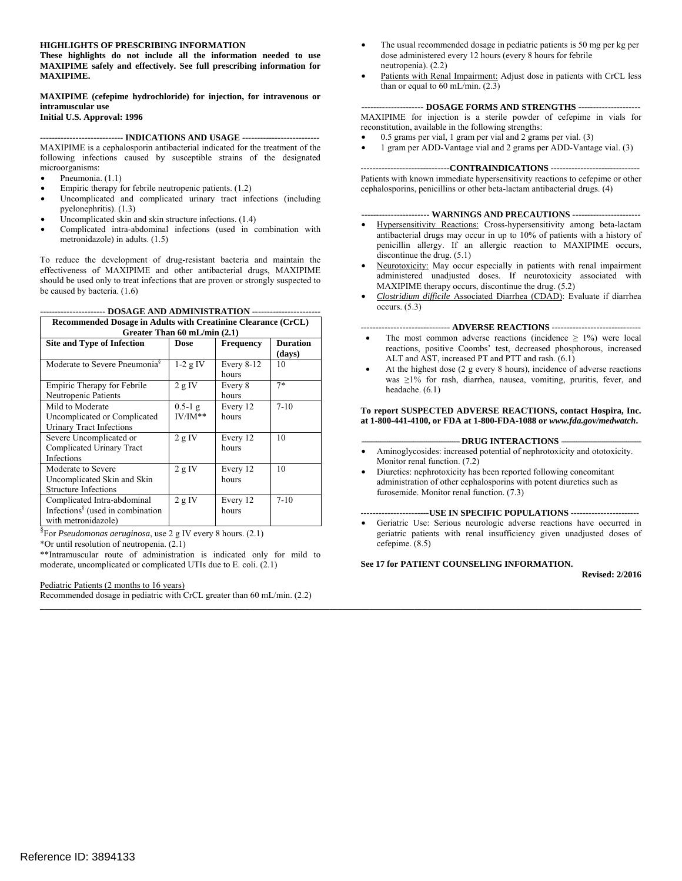#### **HIGHLIGHTS OF PRESCRIBING INFORMATION**

**These highlights do not include all the information needed to use MAXIPIME safely and effectively. See full prescribing information for MAXIPIME. MAXIPIME (cefepime hydrochloride) for injection, for intravenous or** 

**intramuscular use** 

**Initial U.S. Approval: 1996** 

#### **---------------------------- INDICATIONS AND USAGE -------------------------**

MAXIPIME is a cephalosporin antibacterial indicated for the treatment of the following infections caused by susceptible strains of the designated microorganisms:

- Pneumonia. (1.1)
- Empiric therapy for febrile neutropenic patients.  $(1.2)$
- Uncomplicated and complicated urinary tract infections (including pyelonephritis). (1.3)
- Uncomplicated skin and skin structure infections. (1.4)
- Complicated intra-abdominal infections (used in combination with metronidazole) in adults. (1.5)

To reduce the development of drug-resistant bacteria and maintain the effectiveness of MAXIPIME and other antibacterial drugs, MAXIPIME should be used only to treat infections that are proven or strongly suspected to be caused by bacteria. (1.6)

| ----------------------      DOSAGE AND ADMINISTRATION        -------------------- |  |  |  |  |
|-----------------------------------------------------------------------------------|--|--|--|--|
|-----------------------------------------------------------------------------------|--|--|--|--|

| Recommended Dosage in Adults with Creatinine Clearance (CrCL)<br>Greater Than $60$ mL/min $(2.1)$  |                        |                       |                           |
|----------------------------------------------------------------------------------------------------|------------------------|-----------------------|---------------------------|
| Site and Type of Infection                                                                         | Dose                   | <b>Frequency</b>      | <b>Duration</b><br>(days) |
| Moderate to Severe Pneumonia <sup>§</sup>                                                          | $1-2$ g IV             | Every $8-12$<br>hours | 10                        |
| Empiric Therapy for Febrile<br>Neutropenic Patients                                                | 2 g IV                 | Every 8<br>hours      | $7*$                      |
| Mild to Moderate<br>Uncomplicated or Complicated<br>Urinary Tract Infections                       | $0.5-1$ g<br>$IV/IM**$ | Every 12<br>hours     | $7 - 10$                  |
| Severe Uncomplicated or<br>Complicated Urinary Tract<br><b>Infections</b>                          | 2 g IV                 | Every 12<br>hours     | 10                        |
| Moderate to Severe<br>Uncomplicated Skin and Skin<br><b>Structure Infections</b>                   | 2 g IV                 | Every 12<br>hours     | 10                        |
| Complicated Intra-abdominal<br>Infections <sup>§</sup> (used in combination<br>with metronidazole) | 2 g IV                 | Every 12<br>hours     | $7 - 10$                  |

§ For *Pseudomonas aeruginosa*, use 2 g IV every 8 hours. (2.1)

\*Or until resolution of neutropenia. (2.1)

\*\*Intramuscular route of administration is indicated only for mild to moderate, uncomplicated or complicated UTIs due to E. coli. (2.1)

Pediatric Patients (2 months to 16 years)

Recommended dosage in pediatric with CrCL greater than 60 mL/min. (2.2)

- The usual recommended dosage in pediatric patients is 50 mg per kg per dose administered every 12 hours (every 8 hours for febrile neutropenia). (2.2)
- Patients with Renal Impairment: Adjust dose in patients with CrCL less than or equal to 60 mL/min. (2.3)

#### **--------------------- DOSAGE FORMS AND STRENGTHS --------------------**

MAXIPIME for injection is a sterile powder of cefepime in vials for reconstitution, available in the following strengths:

- $0.5$  grams per vial, 1 gram per vial and 2 grams per vial.  $(3)$
- 1 gram per ADD-Vantage vial and 2 grams per ADD-Vantage vial. (3)

#### **------------------------------CONTRAINDICATIONS -----------------------------**

Patients with known immediate hypersensitivity reactions to cefepime or other cephalosporins, penicillins or other beta-lactam antibacterial drugs. (4)

**----------------------- WARNINGS AND PRECAUTIONS ----------------------**

- Hypersensitivity Reactions: Cross-hypersensitivity among beta-lactam antibacterial drugs may occur in up to 10% of patients with a history of penicillin allergy. If an allergic reaction to MAXIPIME occurs, discontinue the drug. (5.1)
- Neurotoxicity: May occur especially in patients with renal impairment administered unadjusted doses. If neurotoxicity associated with MAXIPIME therapy occurs, discontinue the drug. (5.2)
- • *Clostridium difficile* Associated Diarrhea (CDAD): Evaluate if diarrhea occurs. (5.3)

#### **------------------------------ ADVERSE REACTIONS -----------------------------**

- The most common adverse reactions (incidence  $\geq$  1%) were local reactions, positive Coombs' test, decreased phosphorous, increased ALT and AST, increased PT and PTT and rash. (6.1)
- At the highest dose (2 g every 8 hours), incidence of adverse reactions was ≥1% for rash, diarrhea, nausea, vomiting, pruritis, fever, and headache. (6.1)

#### **To report SUSPECTED ADVERSE REACTIONS, contact Hospira, Inc. at 1-800-441-4100, or FDA at 1-800-FDA-1088 or** *www.fda.gov/medwatch***.**

#### -- DRUG INTERACTIONS -

- Aminoglycosides: increased potential of nephrotoxicity and ototoxicity. Monitor renal function. (7.2)
- Diuretics: nephrotoxicity has been reported following concomitant administration of other cephalosporins with potent diuretics such as furosemide. Monitor renal function. (7.3)

#### **-----------------------USE IN SPECIFIC POPULATIONS ----------------------**

Geriatric Use: Serious neurologic adverse reactions have occurred in geriatric patients with renal insufficiency given unadjusted doses of cefepime. (8.5)

#### **See 17 for PATIENT COUNSELING INFORMATION.**

**\_\_\_\_\_\_\_\_\_\_\_\_\_\_\_\_\_\_\_\_\_\_\_\_\_\_\_\_\_\_\_\_\_\_\_\_\_\_\_\_\_\_\_\_\_\_\_\_\_\_\_\_\_\_\_\_\_\_\_\_\_\_\_\_\_\_\_\_\_\_\_\_\_\_\_\_\_\_\_\_\_\_\_\_\_\_\_\_\_\_\_\_\_\_\_\_\_\_\_\_\_\_\_\_\_\_\_\_\_\_\_\_\_\_\_\_\_\_\_\_\_\_\_\_\_\_\_\_\_\_\_\_\_\_\_** 

**Revised: 2/2016**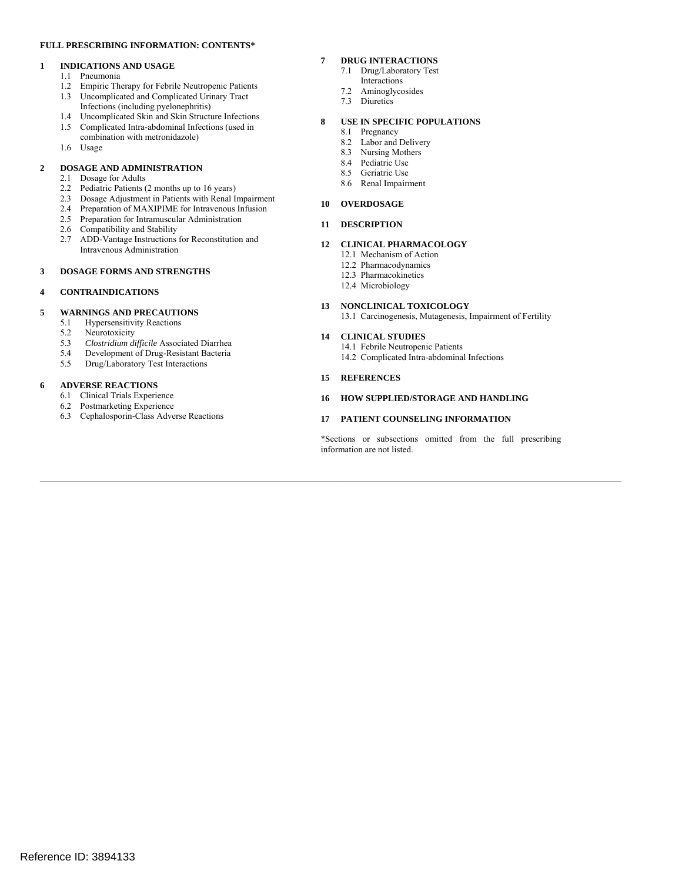#### **FULL PRESCRIBING INFORMATION: CONTENTS\***

#### **1 INDICATIONS AND USAGE**

- 1.1 Pneumonia
- 1.2 Empiric Therapy for Febrile Neutropenic Patients
- 1.3 Uncomplicated and Complicated Urinary Tract Infections (including pyelonephritis)
- 1.4 Uncomplicated Skin and Skin Structure Infections
- 1.5 Complicated Intra-abdominal Infections (used in combination with metronidazole)
- 1.6 Usage

#### **2 DOSAGE AND ADMINISTRATION**

- 2.1 Dosage for Adults
- 2.2 Pediatric Patients (2 months up to 16 years)
- 2.3 Dosage Adjustment in Patients with Renal Impairment
- 2.4 Preparation of MAXIPIME for Intravenous Infusion
- 2.5 Preparation for Intramuscular Administration
- 2.6 Compatibility and Stability
- 2.7 ADD-Vantage Instructions for Reconstitution and Intravenous Administration

#### **3 DOSAGE FORMS AND STRENGTHS**

#### **4 CONTRAINDICATIONS**

# **5 WARNINGS AND PRECAUTIONS**<br>5.1 **Hypersensitivity Reactions**

- **Hypersensitivity Reactions**
- 5.2 Neurotoxicity
- 5.3 *Clostridium difficile* Associated Diarrhea
- 5.4 Development of Drug-Resistant Bacteria
- 5.5 Drug/Laboratory Test Interactions

#### **6 ADVERSE REACTIONS**

- 6.1 Clinical Trials Experience
- 6.2 Postmarketing Experience
- 6.3 Cephalosporin-Class Adverse Reactions

#### **7 DRUG INTERACTIONS**

- 7.1 Drug/Laboratory Test Interactions
- 7.2 Aminoglycosides
- 7.3 Diuretics

#### **8 USE IN SPECIFIC POPULATIONS**

- 8.1 Pregnancy
- 8.2 Labor and Delivery 8.3 Nursing Mothers
- 8.4 Pediatric Use
- 8.5 Geriatric Use
- 8.6 Renal Impairment

#### **10 OVERDOSAGE**

#### **11 DESCRIPTION**

#### **12 CLINICAL PHARMACOLOGY**

- 12.1 Mechanism of Action
- 12.2 Pharmacodynamics
- 12.3 Pharmacokinetics
- 12.4 Microbiology

#### **13 NONCLINICAL TOXICOLOGY**

13.1 Carcinogenesis, Mutagenesis, Impairment of Fertility

#### **14 CLINICAL STUDIES**

- 14.1 Febrile Neutropenic Patients
- 14.2 Complicated Intra-abdominal Infections
- **15 REFERENCES**

 $\mathcal{L}_\mathcal{L} = \{ \mathcal{L}_\mathcal{L} = \{ \mathcal{L}_\mathcal{L} = \{ \mathcal{L}_\mathcal{L} = \{ \mathcal{L}_\mathcal{L} = \{ \mathcal{L}_\mathcal{L} = \{ \mathcal{L}_\mathcal{L} = \{ \mathcal{L}_\mathcal{L} = \{ \mathcal{L}_\mathcal{L} = \{ \mathcal{L}_\mathcal{L} = \{ \mathcal{L}_\mathcal{L} = \{ \mathcal{L}_\mathcal{L} = \{ \mathcal{L}_\mathcal{L} = \{ \mathcal{L}_\mathcal{L} = \{ \mathcal{L}_\mathcal{$ 

#### **16 HOW SUPPLIED/STORAGE AND HANDLING**

#### **17 PATIENT COUNSELING INFORMATION**

\*Sections or subsections omitted from the full prescribing information are not listed.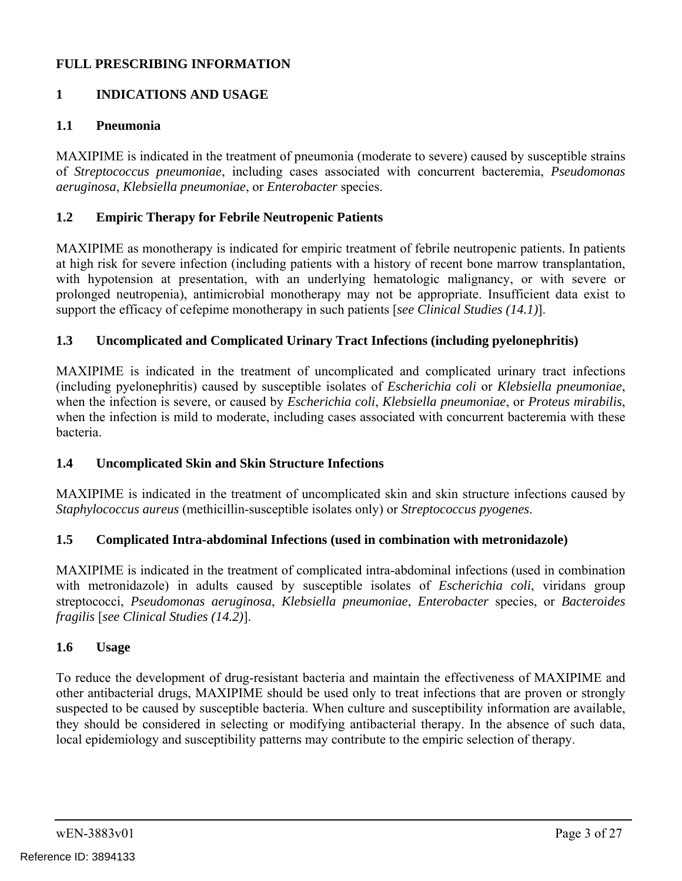## **FULL PRESCRIBING INFORMATION**

## **1 INDICATIONS AND USAGE**

#### **1.1 Pneumonia**

MAXIPIME is indicated in the treatment of pneumonia (moderate to severe) caused by susceptible strains of *Streptococcus pneumoniae*, including cases associated with concurrent bacteremia, *Pseudomonas aeruginosa*, *Klebsiella pneumoniae*, or *Enterobacter* species.

#### **1.2 Empiric Therapy for Febrile Neutropenic Patients**

MAXIPIME as monotherapy is indicated for empiric treatment of febrile neutropenic patients. In patients at high risk for severe infection (including patients with a history of recent bone marrow transplantation, with hypotension at presentation, with an underlying hematologic malignancy, or with severe or prolonged neutropenia), antimicrobial monotherapy may not be appropriate. Insufficient data exist to support the efficacy of cefepime monotherapy in such patients [*see Clinical Studies (14.1)*].

#### **1.3 Uncomplicated and Complicated Urinary Tract Infections (including pyelonephritis)**

MAXIPIME is indicated in the treatment of uncomplicated and complicated urinary tract infections (including pyelonephritis) caused by susceptible isolates of *Escherichia coli* or *Klebsiella pneumoniae*, when the infection is severe, or caused by *Escherichia coli*, *Klebsiella pneumoniae*, or *Proteus mirabilis*, when the infection is mild to moderate, including cases associated with concurrent bacteremia with these bacteria.

### **1.4 Uncomplicated Skin and Skin Structure Infections**

MAXIPIME is indicated in the treatment of uncomplicated skin and skin structure infections caused by *Staphylococcus aureus* (methicillin-susceptible isolates only) or *Streptococcus pyogenes*.

#### **1.5 Complicated Intra-abdominal Infections (used in combination with metronidazole)**

MAXIPIME is indicated in the treatment of complicated intra-abdominal infections (used in combination with metronidazole) in adults caused by susceptible isolates of *Escherichia coli*, viridans group streptococci, *Pseudomonas aeruginosa*, *Klebsiella pneumoniae*, *Enterobacter* species, or *Bacteroides fragilis* [*see Clinical Studies (14.2)*].

#### **1.6 Usage**

To reduce the development of drug-resistant bacteria and maintain the effectiveness of MAXIPIME and other antibacterial drugs, MAXIPIME should be used only to treat infections that are proven or strongly suspected to be caused by susceptible bacteria. When culture and susceptibility information are available, they should be considered in selecting or modifying antibacterial therapy. In the absence of such data, local epidemiology and susceptibility patterns may contribute to the empiric selection of therapy.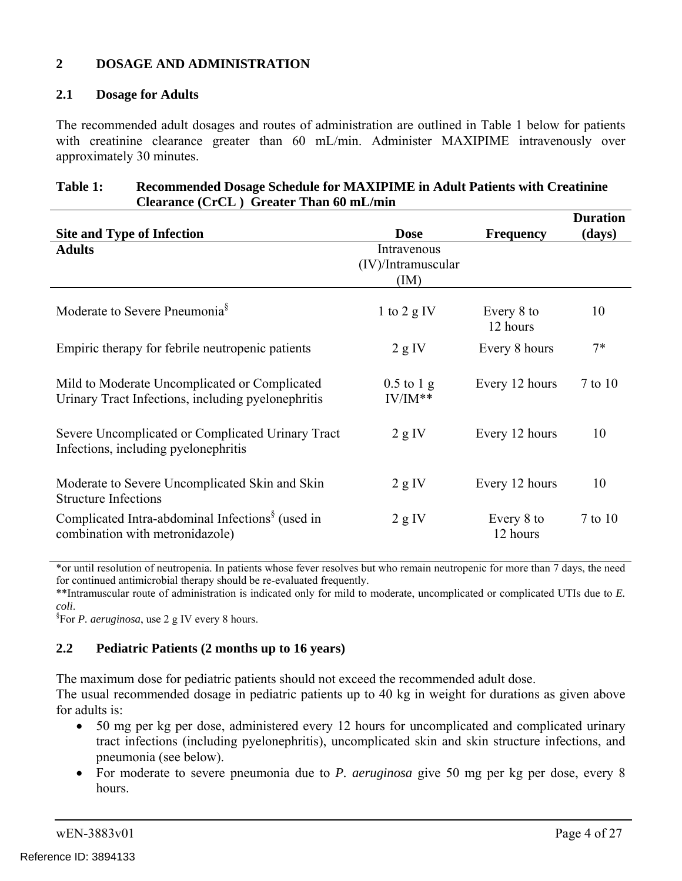## **2 DOSAGE AND ADMINISTRATION**

#### **2.1 Dosage for Adults**

The recommended adult dosages and routes of administration are outlined in Table 1 below for patients with creatinine clearance greater than 60 mL/min. Administer MAXIPIME intravenously over approximately 30 minutes.

#### **Table 1: Recommended Dosage Schedule for MAXIPIME in Adult Patients with Creatinine Clearance (CrCL ) Greater Than 60 mL/min**

| <b>Site and Type of Infection</b>                                                                   | <b>Dose</b>                               | <b>Frequency</b>       | <b>Duration</b><br>(days) |
|-----------------------------------------------------------------------------------------------------|-------------------------------------------|------------------------|---------------------------|
| <b>Adults</b>                                                                                       | Intravenous<br>(IV)/Intramuscular<br>(IM) |                        |                           |
| Moderate to Severe Pneumonia <sup>§</sup>                                                           | 1 to 2 $g$ IV                             | Every 8 to<br>12 hours | 10                        |
| Empiric therapy for febrile neutropenic patients                                                    | 2 g IV                                    | Every 8 hours          | $7*$                      |
| Mild to Moderate Uncomplicated or Complicated<br>Urinary Tract Infections, including pyelonephritis | $0.5$ to 1 g<br>$IV/IM**$                 | Every 12 hours         | $7$ to $10$               |
| Severe Uncomplicated or Complicated Urinary Tract<br>Infections, including pyelonephritis           | 2 g IV                                    | Every 12 hours         | 10                        |
| Moderate to Severe Uncomplicated Skin and Skin<br><b>Structure Infections</b>                       | 2 g IV                                    | Every 12 hours         | 10                        |
| Complicated Intra-abdominal Infections <sup>§</sup> (used in<br>combination with metronidazole)     | 2 g IV                                    | Every 8 to<br>12 hours | $7$ to $10$               |

\*or until resolution of neutropenia. In patients whose fever resolves but who remain neutropenic for more than 7 days, the need for continued antimicrobial therapy should be re-evaluated frequently.

\*\*Intramuscular route of administration is indicated only for mild to moderate, uncomplicated or complicated UTIs due to *E. coli*. §

For *P. aeruginosa*, use 2 g IV every 8 hours.

## **2.2 Pediatric Patients (2 months up to 16 years)**

The maximum dose for pediatric patients should not exceed the recommended adult dose.

The usual recommended dosage in pediatric patients up to 40 kg in weight for durations as given above for adults is:

- 50 mg per kg per dose, administered every 12 hours for uncomplicated and complicated urinary tract infections (including pyelonephritis), uncomplicated skin and skin structure infections, and pneumonia (see below).
- For moderate to severe pneumonia due to *P. aeruginosa* give 50 mg per kg per dose, every 8 hours.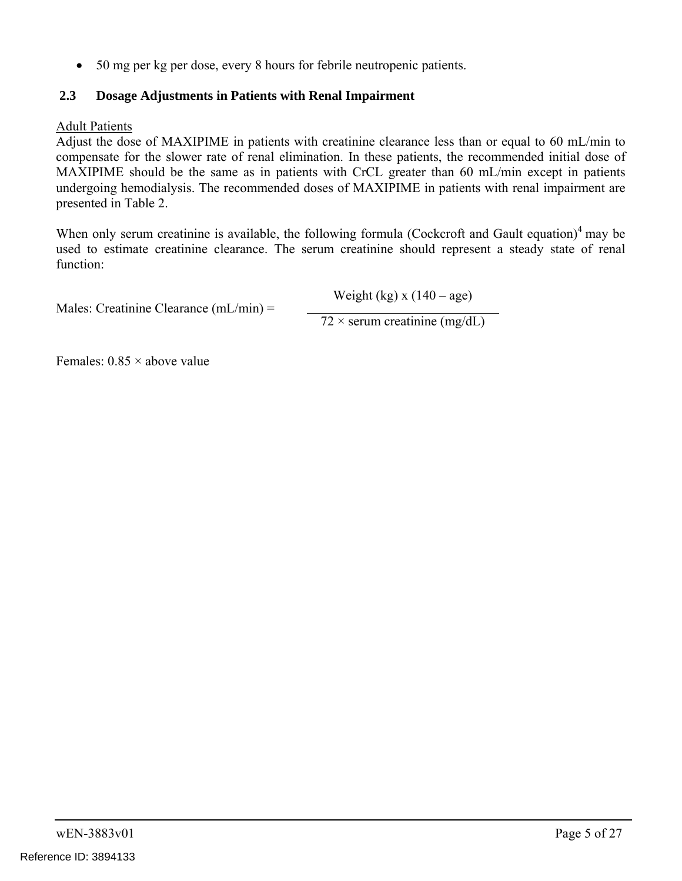50 mg per kg per dose, every 8 hours for febrile neutropenic patients.

## **2.3 Dosage Adjustments in Patients with Renal Impairment**

#### Adult Patients

Adjust the dose of MAXIPIME in patients with creatinine clearance less than or equal to 60 mL/min to compensate for the slower rate of renal elimination. In these patients, the recommended initial dose of MAXIPIME should be the same as in patients with CrCL greater than 60 mL/min except in patients undergoing hemodialysis. The recommended doses of MAXIPIME in patients with renal impairment are presented in Table 2.

When only serum creatinine is available, the following formula (Cockcroft and Gault equation)<sup>4</sup> may be used to estimate creatinine clearance. The serum creatinine should represent a steady state of renal function:

Males: Creatinine Clearance (mL/min) =

Weight (kg)  $x(140 - age)$ 

 $72 \times$  serum creatinine (mg/dL)

Females:  $0.85 \times$  above value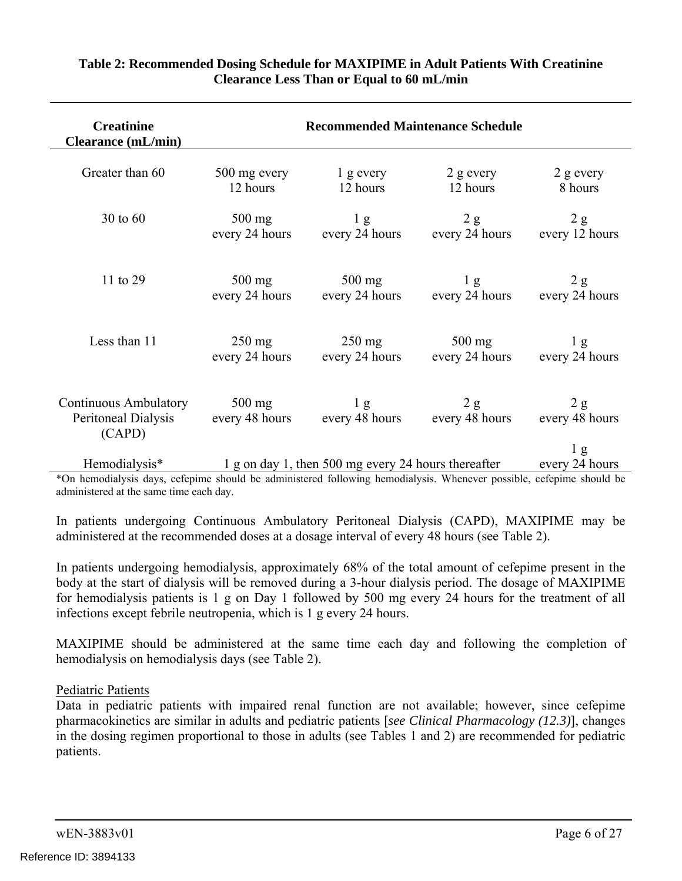| <b>Creatinine</b><br><b>Clearance</b> (mL/min)                |                            | <b>Recommended Maintenance Schedule</b>             |                       |                                |
|---------------------------------------------------------------|----------------------------|-----------------------------------------------------|-----------------------|--------------------------------|
| Greater than 60                                               | 500 mg every               | $1$ g every                                         | $2$ g every           | $2$ g every                    |
|                                                               | 12 hours                   | 12 hours                                            | 12 hours              | 8 hours                        |
| $30 \text{ to } 60$                                           | $500$ mg                   | 1 <sub>g</sub>                                      | 2 g                   | 2 g                            |
|                                                               | every 24 hours             | every 24 hours                                      | every 24 hours        | every 12 hours                 |
| 11 to 29                                                      | $500$ mg                   | $500$ mg                                            | 1 <sub>g</sub>        | 2 g                            |
|                                                               | every 24 hours             | every 24 hours                                      | every 24 hours        | every 24 hours                 |
| Less than 11                                                  | $250 \text{ mg}$           | $250 \text{ mg}$                                    | $500 \text{ mg}$      | 1 <sub>g</sub>                 |
|                                                               | every 24 hours             | every 24 hours                                      | every 24 hours        | every 24 hours                 |
| <b>Continuous Ambulatory</b><br>Peritoneal Dialysis<br>(CAPD) | $500$ mg<br>every 48 hours | 1 <sub>g</sub><br>every 48 hours                    | 2 g<br>every 48 hours | 2 g<br>every 48 hours<br>$\lg$ |
| Hemodialysis*                                                 |                            | 1 g on day 1, then 500 mg every 24 hours thereafter |                       | every 24 hours                 |

### **Table 2: Recommended Dosing Schedule for MAXIPIME in Adult Patients With Creatinine Clearance Less Than or Equal to 60 mL/min**

\*On hemodialysis days, cefepime should be administered following hemodialysis. Whenever possible, cefepime should be administered at the same time each day.

In patients undergoing Continuous Ambulatory Peritoneal Dialysis (CAPD), MAXIPIME may be administered at the recommended doses at a dosage interval of every 48 hours (see Table 2).

In patients undergoing hemodialysis, approximately 68% of the total amount of cefepime present in the body at the start of dialysis will be removed during a 3-hour dialysis period. The dosage of MAXIPIME for hemodialysis patients is 1 g on Day 1 followed by 500 mg every 24 hours for the treatment of all infections except febrile neutropenia, which is 1 g every 24 hours.

MAXIPIME should be administered at the same time each day and following the completion of hemodialysis on hemodialysis days (see Table 2).

### Pediatric Patients

Data in pediatric patients with impaired renal function are not available; however, since cefepime pharmacokinetics are similar in adults and pediatric patients [*see Clinical Pharmacology (12.3)*], changes in the dosing regimen proportional to those in adults (see Tables 1 and 2) are recommended for pediatric patients.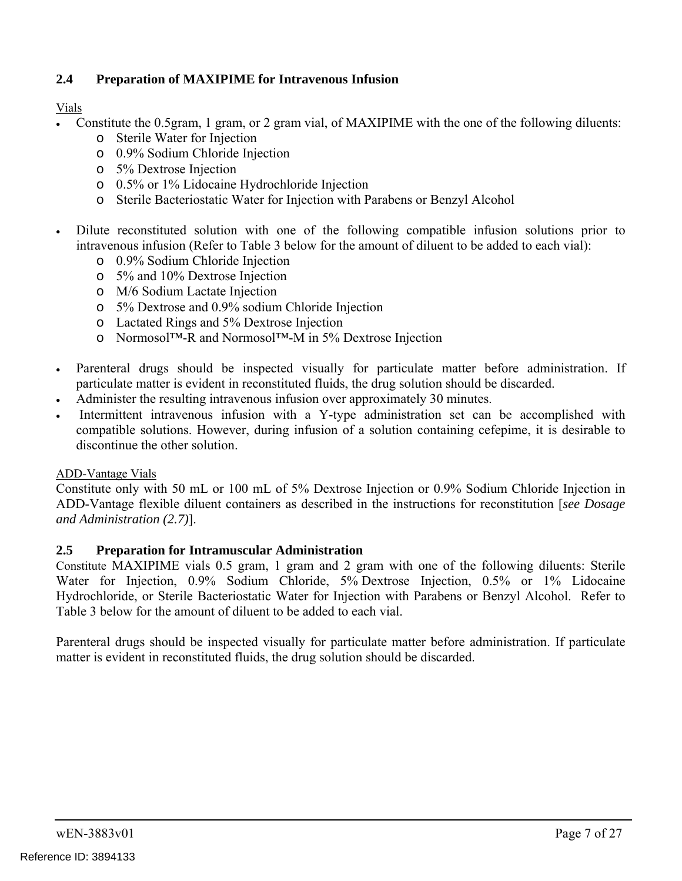## **2.4 Preparation of MAXIPIME for Intravenous Infusion**

Vials

- Constitute the 0.5gram, 1 gram, or 2 gram vial, of MAXIPIME with the one of the following diluents:
	- o Sterile Water for Injection
	- o 0.9% Sodium Chloride Injection
	- o 5% Dextrose Injection
	- o 0.5% or 1% Lidocaine Hydrochloride Injection
	- o Sterile Bacteriostatic Water for Injection with Parabens or Benzyl Alcohol
- Dilute reconstituted solution with one of the following compatible infusion solutions prior to intravenous infusion (Refer to Table 3 below for the amount of diluent to be added to each vial):
	- o 0.9% Sodium Chloride Injection
	- o 5% and 10% Dextrose Injection
	- o M/6 Sodium Lactate Injection
	- o 5% Dextrose and 0.9% sodium Chloride Injection
	- o Lactated Rings and 5% Dextrose Injection
	- o Normosol™-R and Normosol™-M in 5% Dextrose Injection
- Parenteral drugs should be inspected visually for particulate matter before administration. If particulate matter is evident in reconstituted fluids, the drug solution should be discarded.
- Administer the resulting intravenous infusion over approximately 30 minutes.
- Intermittent intravenous infusion with a Y-type administration set can be accomplished with compatible solutions. However, during infusion of a solution containing cefepime, it is desirable to discontinue the other solution.

### ADD-Vantage Vials

Constitute only with 50 mL or 100 mL of 5% Dextrose Injection or 0.9% Sodium Chloride Injection in ADD-Vantage flexible diluent containers as described in the instructions for reconstitution [*see Dosage and Administration (2.7)*].

### **2.5 Preparation for Intramuscular Administration**

Constitute MAXIPIME vials 0.5 gram, 1 gram and 2 gram with one of the following diluents: Sterile Water for Injection, 0.9% Sodium Chloride, 5% Dextrose Injection, 0.5% or 1% Lidocaine Hydrochloride, or Sterile Bacteriostatic Water for Injection with Parabens or Benzyl Alcohol. Refer to Table 3 below for the amount of diluent to be added to each vial.

Parenteral drugs should be inspected visually for particulate matter before administration. If particulate matter is evident in reconstituted fluids, the drug solution should be discarded.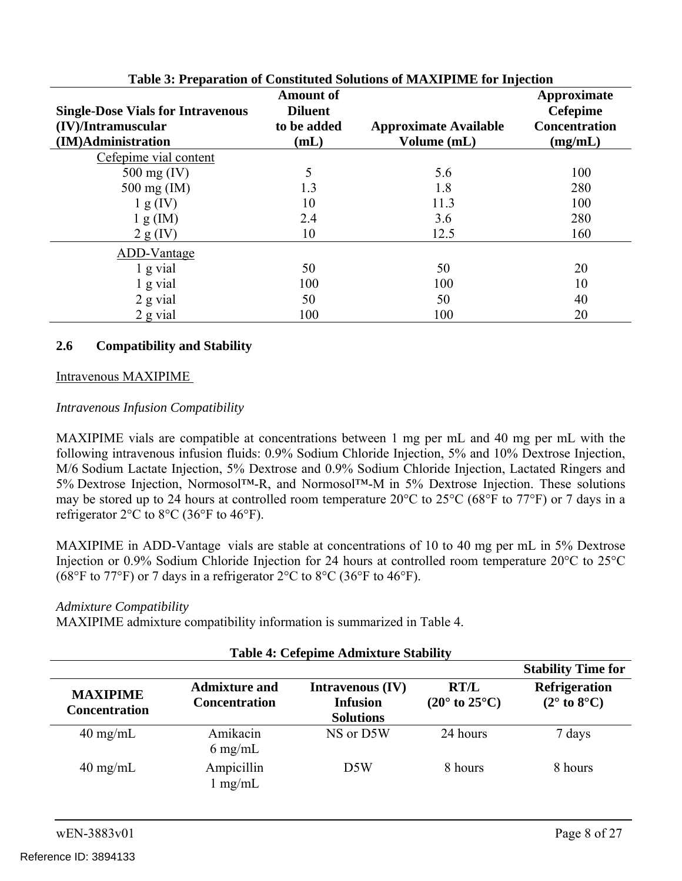| Table 5: Preparation of Constituted Solutions of MAXIPTME for Injection |                                    |                              |                                |  |
|-------------------------------------------------------------------------|------------------------------------|------------------------------|--------------------------------|--|
| <b>Single-Dose Vials for Intravenous</b>                                | <b>Amount of</b><br><b>Diluent</b> |                              | Approximate<br><b>Cefepime</b> |  |
| (IV)/Intramuscular                                                      | to be added                        | <b>Approximate Available</b> | <b>Concentration</b>           |  |
| (IM)Administration                                                      | (mL)                               | Volume (mL)                  | (mg/mL)                        |  |
| Cefepime vial content                                                   |                                    |                              |                                |  |
| $500 \text{ mg (IV)}$                                                   |                                    | 5.6                          | 100                            |  |
| $500 \text{ mg (IM)}$                                                   | 1.3                                | 1.8                          | 280                            |  |
| 1 g (IV)                                                                | 10                                 | 11.3                         | 100                            |  |
| 1 g (IM)                                                                | 2.4                                | 3.6                          | 280                            |  |
| $2 g$ (IV)                                                              | 10                                 | 12.5                         | 160                            |  |
| ADD-Vantage                                                             |                                    |                              |                                |  |
| $1$ g vial                                                              | 50                                 | 50                           | 20                             |  |
| 1 g vial                                                                | 100                                | 100                          | 10                             |  |
| 2 g vial                                                                | 50                                 | 50                           | 40                             |  |
| 2 g vial                                                                | 100                                | 100                          | 20                             |  |

#### **Table 3: Preparation of Constituted Solutions of MAXIPIME for Injection**

#### **2.6 Compatibility and Stability**

#### Intravenous MAXIPIME

#### *Intravenous Infusion Compatibility*

MAXIPIME vials are compatible at concentrations between 1 mg per mL and 40 mg per mL with the following intravenous infusion fluids: 0.9% Sodium Chloride Injection, 5% and 10% Dextrose Injection, M/6 Sodium Lactate Injection, 5% Dextrose and 0.9% Sodium Chloride Injection, Lactated Ringers and 5% Dextrose Injection, Normosol™-R, and Normosol™-M in 5% Dextrose Injection. These solutions may be stored up to 24 hours at controlled room temperature 20°C to 25°C (68°F to 77°F) or 7 days in a refrigerator 2°C to 8°C (36°F to 46°F).

MAXIPIME in ADD-Vantage vials are stable at concentrations of 10 to 40 mg per mL in 5% Dextrose Injection or 0.9% Sodium Chloride Injection for 24 hours at controlled room temperature 20°C to 25°C (68°F to 77°F) or 7 days in a refrigerator 2°C to 8°C (36°F to 46°F).

#### *Admixture Compatibility*

MAXIPIME admixture compatibility information is summarized in Table 4.

| <b>Table 4: Cefepime Admixture Stability</b> |                                              |                                                                |                                                 |                                                        |
|----------------------------------------------|----------------------------------------------|----------------------------------------------------------------|-------------------------------------------------|--------------------------------------------------------|
|                                              |                                              |                                                                |                                                 | <b>Stability Time for</b>                              |
| <b>MAXIPIME</b><br><b>Concentration</b>      | <b>Admixture and</b><br><b>Concentration</b> | <b>Intravenous (IV)</b><br><b>Infusion</b><br><b>Solutions</b> | <b>RT/L</b><br>$(20^{\circ}$ to $25^{\circ}$ C) | <b>Refrigeration</b><br>$(2^{\circ}$ to $8^{\circ}$ C) |
| $40 \text{ mg/mL}$                           | Amikacin<br>$6 \text{ mg/mL}$                | NS or D5W                                                      | 24 hours                                        | 7 days                                                 |
| $40 \text{ mg/mL}$                           | Ampicillin<br>mg/mL                          | D <sub>5</sub> W                                               | 8 hours                                         | 8 hours                                                |

#### **Table 4: Cefepime Admixture Stability**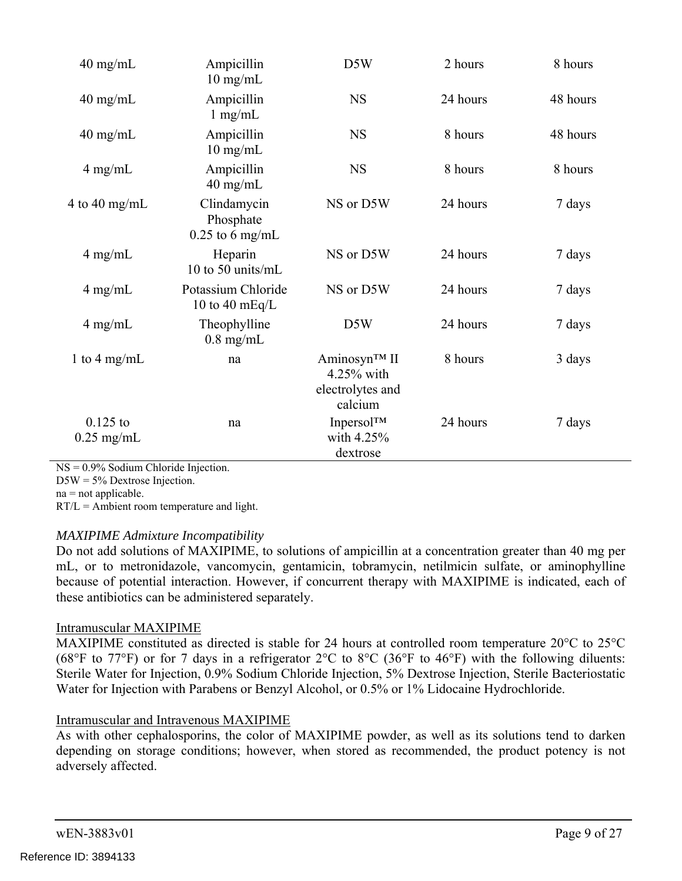| $40$ mg/mL                 | Ampicillin<br>$10 \text{ mg/mL}$              | D5W                                                          | 2 hours  | 8 hours  |
|----------------------------|-----------------------------------------------|--------------------------------------------------------------|----------|----------|
| $40$ mg/mL                 | Ampicillin<br>$1$ mg/mL                       | <b>NS</b>                                                    | 24 hours | 48 hours |
| $40 \text{ mg/mL}$         | Ampicillin<br>$10$ mg/mL                      | <b>NS</b>                                                    | 8 hours  | 48 hours |
| $4$ mg/mL                  | Ampicillin<br>$40$ mg/mL                      | <b>NS</b>                                                    | 8 hours  | 8 hours  |
| 4 to 40 mg/mL              | Clindamycin<br>Phosphate<br>$0.25$ to 6 mg/mL | NS or D5W                                                    | 24 hours | 7 days   |
| $4$ mg/mL                  | Heparin<br>10 to 50 units/mL                  | NS or D5W                                                    | 24 hours | 7 days   |
| $4$ mg/mL                  | Potassium Chloride<br>10 to 40 $mEq/L$        | NS or D5W                                                    | 24 hours | 7 days   |
| $4$ mg/mL                  | Theophylline<br>$0.8$ mg/mL                   | D5W                                                          | 24 hours | 7 days   |
| 1 to 4 mg/mL               | na                                            | Aminosyn™ II<br>$4.25\%$ with<br>electrolytes and<br>calcium | 8 hours  | 3 days   |
| $0.125$ to<br>$0.25$ mg/mL | na                                            | Inpersol <sup>TM</sup><br>with 4.25%<br>dextrose             | 24 hours | 7 days   |

NS = 0.9% Sodium Chloride Injection.

 $DSW = 5\%$  Dextrose Injection.

na = not applicable.

RT/L = Ambient room temperature and light.

### *MAXIPIME Admixture Incompatibility*

Do not add solutions of MAXIPIME, to solutions of ampicillin at a concentration greater than 40 mg per mL, or to metronidazole, vancomycin, gentamicin, tobramycin, netilmicin sulfate, or aminophylline because of potential interaction. However, if concurrent therapy with MAXIPIME is indicated, each of these antibiotics can be administered separately.

### Intramuscular MAXIPIME

MAXIPIME constituted as directed is stable for 24 hours at controlled room temperature 20°C to 25°C (68°F to 77°F) or for 7 days in a refrigerator 2°C to 8°C (36°F to 46°F) with the following diluents: Sterile Water for Injection, 0.9% Sodium Chloride Injection, 5% Dextrose Injection, Sterile Bacteriostatic Water for Injection with Parabens or Benzyl Alcohol, or 0.5% or 1% Lidocaine Hydrochloride.

## Intramuscular and Intravenous MAXIPIME

As with other cephalosporins, the color of MAXIPIME powder, as well as its solutions tend to darken depending on storage conditions; however, when stored as recommended, the product potency is not adversely affected.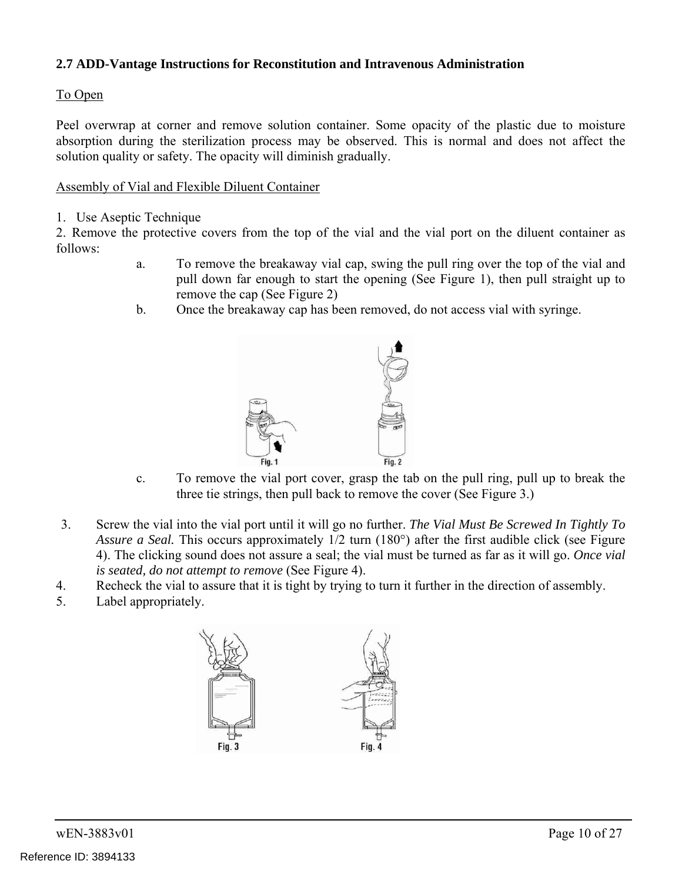## **2.7 ADD-Vantage Instructions for Reconstitution and Intravenous Administration**

### To Open

Peel overwrap at corner and remove solution container. Some opacity of the plastic due to moisture absorption during the sterilization process may be observed. This is normal and does not affect the solution quality or safety. The opacity will diminish gradually.

### Assembly of Vial and Flexible Diluent Container

1. Use Aseptic Technique

2. Remove the protective covers from the top of the vial and the vial port on the diluent container as follows:

- a. To remove the breakaway vial cap, swing the pull ring over the top of the vial and pull down far enough to start the opening (See Figure 1), then pull straight up to remove the cap (See Figure 2)
- b. Once the breakaway cap has been removed, do not access vial with syringe.



- c. To remove the vial port cover, grasp the tab on the pull ring, pull up to break the three tie strings, then pull back to remove the cover (See Figure 3.)
- 3. Screw the vial into the vial port until it will go no further. *The Vial Must Be Screwed In Tightly To Assure a Seal.* This occurs approximately 1/2 turn (180°) after the first audible click (see Figure 4). The clicking sound does not assure a seal; the vial must be turned as far as it will go. *Once vial is seated, do not attempt to remove* (See Figure 4).
- 4. Recheck the vial to assure that it is tight by trying to turn it further in the direction of assembly.
- 5. Label appropriately.

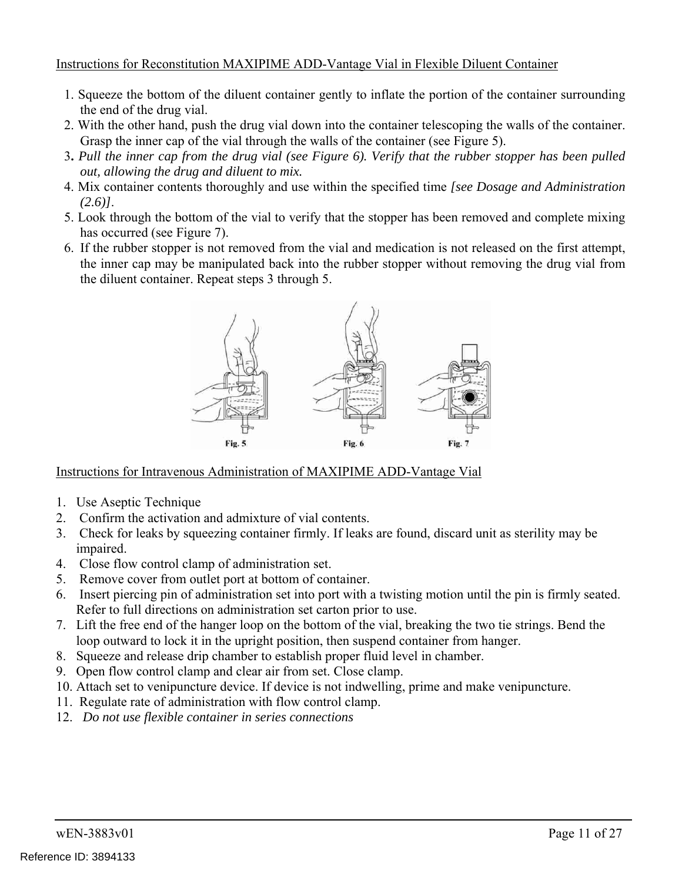### Instructions for Reconstitution MAXIPIME ADD-Vantage Vial in Flexible Diluent Container

- 1. Squeeze the bottom of the diluent container gently to inflate the portion of the container surrounding the end of the drug vial.
- 2. With the other hand, push the drug vial down into the container telescoping the walls of the container. Grasp the inner cap of the vial through the walls of the container (see Figure 5).
- 3**.** *Pull the inner cap from the drug vial (see Figure 6). Verify that the rubber stopper has been pulled out, allowing the drug and diluent to mix.*
- 4. Mix container contents thoroughly and use within the specified time *[see Dosage and Administration (2.6)]*.
- 5. Look through the bottom of the vial to verify that the stopper has been removed and complete mixing has occurred (see Figure 7).
- 6. If the rubber stopper is not removed from the vial and medication is not released on the first attempt, the inner cap may be manipulated back into the rubber stopper without removing the drug vial from the diluent container. Repeat steps 3 through 5.



### Instructions for Intravenous Administration of MAXIPIME ADD-Vantage Vial

- 1. Use Aseptic Technique
- 2. Confirm the activation and admixture of vial contents.
- 3. Check for leaks by squeezing container firmly. If leaks are found, discard unit as sterility may be impaired.
- 4. Close flow control clamp of administration set.
- 5. Remove cover from outlet port at bottom of container.
- 6. Insert piercing pin of administration set into port with a twisting motion until the pin is firmly seated. Refer to full directions on administration set carton prior to use.
- 7. Lift the free end of the hanger loop on the bottom of the vial, breaking the two tie strings. Bend the loop outward to lock it in the upright position, then suspend container from hanger.
- 8. Squeeze and release drip chamber to establish proper fluid level in chamber.
- 9. Open flow control clamp and clear air from set. Close clamp.
- 10. Attach set to venipuncture device. If device is not indwelling, prime and make venipuncture.
- 11. Regulate rate of administration with flow control clamp.
- 12. *Do not use flexible container in series connections*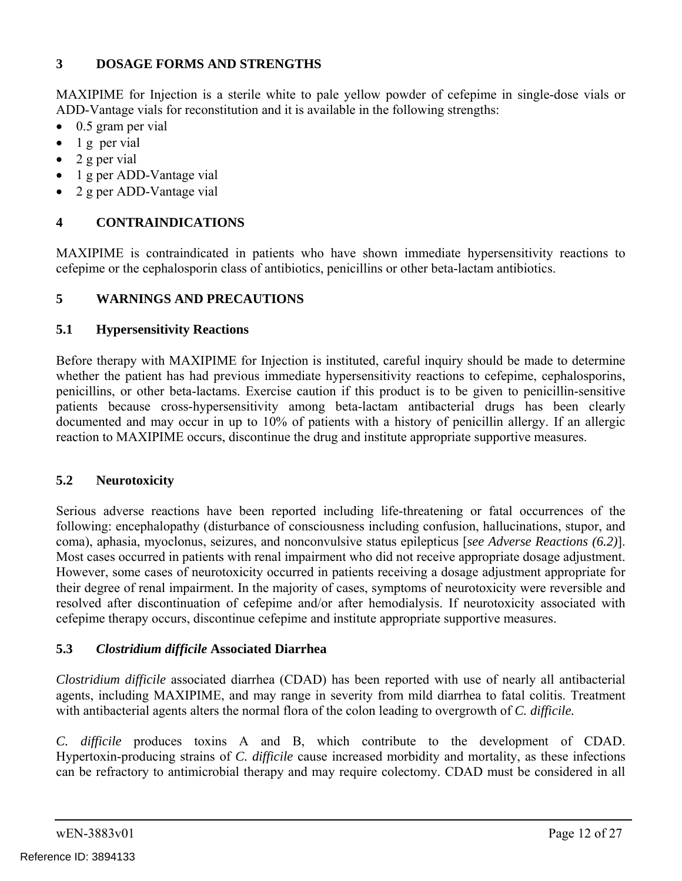## **3 DOSAGE FORMS AND STRENGTHS**

MAXIPIME for Injection is a sterile white to pale yellow powder of cefepime in single-dose vials or ADD-Vantage vials for reconstitution and it is available in the following strengths:

- $\bullet$  0.5 gram per vial
- $\bullet$  1 g per vial
- $\bullet$  2 g per vial
- 1 g per ADD-Vantage vial
- 2 g per ADD-Vantage vial

## **4 CONTRAINDICATIONS**

MAXIPIME is contraindicated in patients who have shown immediate hypersensitivity reactions to cefepime or the cephalosporin class of antibiotics, penicillins or other beta-lactam antibiotics.

## **5 WARNINGS AND PRECAUTIONS**

## **5.1 Hypersensitivity Reactions**

Before therapy with MAXIPIME for Injection is instituted, careful inquiry should be made to determine whether the patient has had previous immediate hypersensitivity reactions to cefepime, cephalosporins, penicillins, or other beta-lactams. Exercise caution if this product is to be given to penicillin-sensitive patients because cross-hypersensitivity among beta-lactam antibacterial drugs has been clearly documented and may occur in up to 10% of patients with a history of penicillin allergy. If an allergic reaction to MAXIPIME occurs, discontinue the drug and institute appropriate supportive measures.

## **5.2 Neurotoxicity**

Serious adverse reactions have been reported including life-threatening or fatal occurrences of the following: encephalopathy (disturbance of consciousness including confusion, hallucinations, stupor, and coma), aphasia, myoclonus, seizures, and nonconvulsive status epilepticus [*see Adverse Reactions (6.2)*]. Most cases occurred in patients with renal impairment who did not receive appropriate dosage adjustment. However, some cases of neurotoxicity occurred in patients receiving a dosage adjustment appropriate for their degree of renal impairment. In the majority of cases, symptoms of neurotoxicity were reversible and resolved after discontinuation of cefepime and/or after hemodialysis. If neurotoxicity associated with cefepime therapy occurs, discontinue cefepime and institute appropriate supportive measures.

## **5.3** *Clostridium difficile* **Associated Diarrhea**

*Clostridium difficile* associated diarrhea (CDAD) has been reported with use of nearly all antibacterial agents, including MAXIPIME, and may range in severity from mild diarrhea to fatal colitis. Treatment with antibacterial agents alters the normal flora of the colon leading to overgrowth of *C. difficile.* 

*C. difficile* produces toxins A and B, which contribute to the development of CDAD. Hypertoxin-producing strains of *C. difficile* cause increased morbidity and mortality, as these infections can be refractory to antimicrobial therapy and may require colectomy. CDAD must be considered in all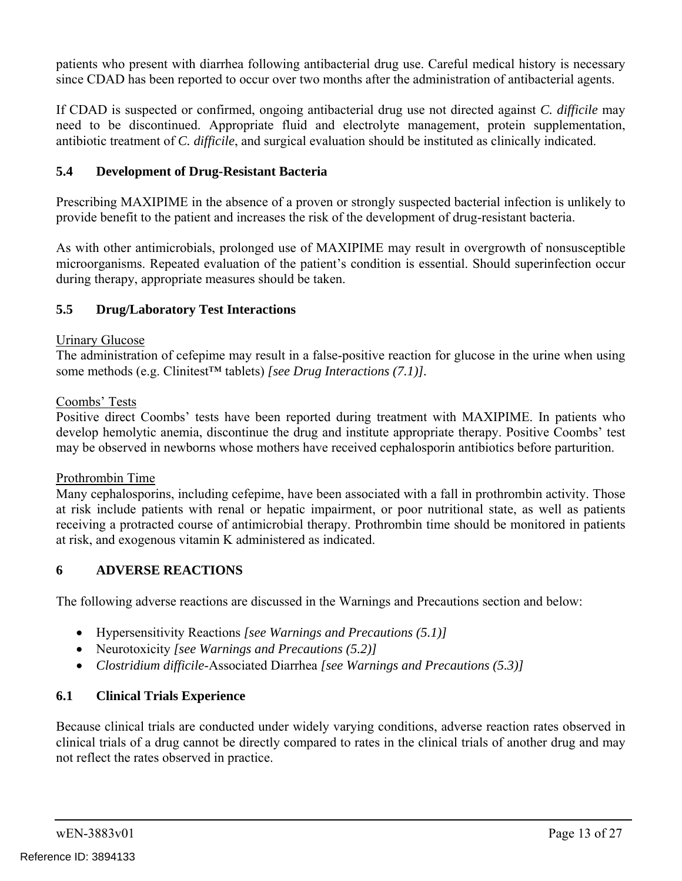patients who present with diarrhea following antibacterial drug use. Careful medical history is necessary since CDAD has been reported to occur over two months after the administration of antibacterial agents.

If CDAD is suspected or confirmed, ongoing antibacterial drug use not directed against *C. difficile* may need to be discontinued. Appropriate fluid and electrolyte management, protein supplementation, antibiotic treatment of *C. difficile*, and surgical evaluation should be instituted as clinically indicated.

## **5.4 Development of Drug-Resistant Bacteria**

Prescribing MAXIPIME in the absence of a proven or strongly suspected bacterial infection is unlikely to provide benefit to the patient and increases the risk of the development of drug-resistant bacteria.

As with other antimicrobials, prolonged use of MAXIPIME may result in overgrowth of nonsusceptible microorganisms. Repeated evaluation of the patient's condition is essential. Should superinfection occur during therapy, appropriate measures should be taken.

## **5.5 Drug/Laboratory Test Interactions**

#### Urinary Glucose

The administration of cefepime may result in a false-positive reaction for glucose in the urine when using some methods (e.g. Clinitest™ tablets) *[see Drug Interactions (7.1)].* 

#### Coombs' Tests

Positive direct Coombs' tests have been reported during treatment with MAXIPIME. In patients who develop hemolytic anemia, discontinue the drug and institute appropriate therapy. Positive Coombs' test may be observed in newborns whose mothers have received cephalosporin antibiotics before parturition.

#### Prothrombin Time

Many cephalosporins, including cefepime, have been associated with a fall in prothrombin activity. Those at risk include patients with renal or hepatic impairment, or poor nutritional state, as well as patients receiving a protracted course of antimicrobial therapy. Prothrombin time should be monitored in patients at risk, and exogenous vitamin K administered as indicated.

### **6 ADVERSE REACTIONS**

The following adverse reactions are discussed in the Warnings and Precautions section and below:

- Hypersensitivity Reactions *[see Warnings and Precautions (5.1)]*
- Neurotoxicity *[see Warnings and Precautions (5.2)]*
- *Clostridium difficile*-Associated Diarrhea *[see Warnings and Precautions (5.3)]*

### **6.1 Clinical Trials Experience**

Because clinical trials are conducted under widely varying conditions, adverse reaction rates observed in clinical trials of a drug cannot be directly compared to rates in the clinical trials of another drug and may not reflect the rates observed in practice.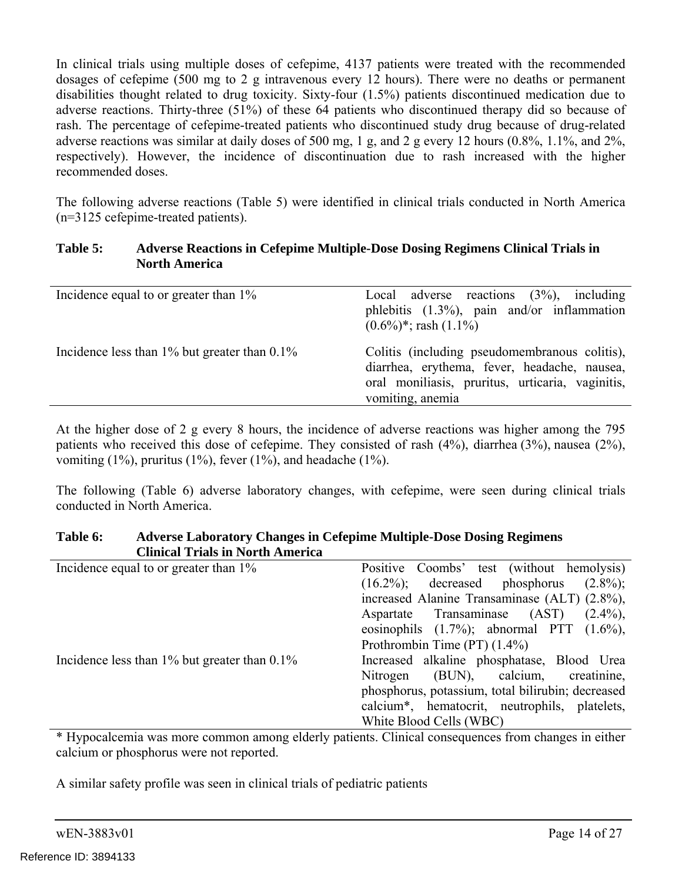In clinical trials using multiple doses of cefepime, 4137 patients were treated with the recommended dosages of cefepime (500 mg to 2 g intravenous every 12 hours). There were no deaths or permanent disabilities thought related to drug toxicity. Sixty-four (1.5%) patients discontinued medication due to adverse reactions. Thirty-three (51%) of these 64 patients who discontinued therapy did so because of rash. The percentage of cefepime-treated patients who discontinued study drug because of drug-related adverse reactions was similar at daily doses of 500 mg, 1 g, and 2 g every 12 hours (0.8%, 1.1%, and 2%, respectively). However, the incidence of discontinuation due to rash increased with the higher recommended doses.

The following adverse reactions (Table 5) were identified in clinical trials conducted in North America (n=3125 cefepime-treated patients).

#### **Table 5: Adverse Reactions in Cefepime Multiple-Dose Dosing Regimens Clinical Trials in North America**

| Incidence equal to or greater than 1%              | Local adverse reactions $(3\%)$ , including<br>phlebitis $(1.3\%)$ , pain and/or inflammation<br>$(0.6\%)^*$ ; rash $(1.1\%)$                                         |
|----------------------------------------------------|-----------------------------------------------------------------------------------------------------------------------------------------------------------------------|
| Incidence less than $1\%$ but greater than $0.1\%$ | Colitis (including pseudomembranous colitis),<br>diarrhea, erythema, fever, headache, nausea,<br>oral monifiasis, pruritus, urticaria, vaginitis,<br>vomiting, anemia |

At the higher dose of 2 g every 8 hours, the incidence of adverse reactions was higher among the 795 patients who received this dose of cefepime. They consisted of rash (4%), diarrhea (3%), nausea (2%), vomiting  $(1\%)$ , pruritus  $(1\%)$ , fever  $(1\%)$ , and headache  $(1\%)$ .

The following (Table 6) adverse laboratory changes, with cefepime, were seen during clinical trials conducted in North America.

#### **Table 6: Adverse Laboratory Changes in Cefepime Multiple-Dose Dosing Regimens Clinical Trials in North America**

| Incidence equal to or greater than 1%              | Positive Coombs' test (without hemolysis)                  |
|----------------------------------------------------|------------------------------------------------------------|
|                                                    | $(16.2\%)$ ; decreased phosphorus $(2.8\%)$ ;              |
|                                                    | increased Alanine Transaminase (ALT) (2.8%),               |
|                                                    | Aspartate Transaminase (AST)<br>$(2.4\%)$ ,                |
|                                                    | eosinophils $(1.7\%)$ ; abnormal PTT $(1.6\%)$ ,           |
|                                                    | Prothrombin Time $(PT)$ $(1.4\%)$                          |
| Incidence less than $1\%$ but greater than $0.1\%$ | Increased alkaline phosphatase, Blood Urea                 |
|                                                    | Nitrogen (BUN), calcium, creatinine,                       |
|                                                    | phosphorus, potassium, total bilirubin; decreased          |
|                                                    | calcium <sup>*</sup> , hematocrit, neutrophils, platelets, |
|                                                    | White Blood Cells (WBC)                                    |

\* Hypocalcemia was more common among elderly patients. Clinical consequences from changes in either calcium or phosphorus were not reported.

A similar safety profile was seen in clinical trials of pediatric patients

| wEN-3883v01 |
|-------------|
|-------------|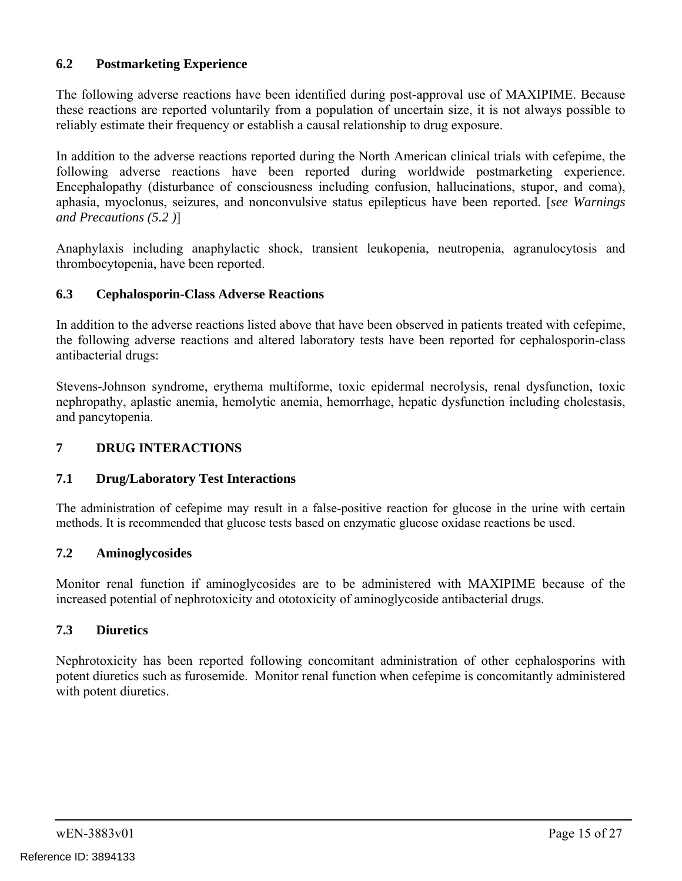## **6.2 Postmarketing Experience**

The following adverse reactions have been identified during post-approval use of MAXIPIME. Because these reactions are reported voluntarily from a population of uncertain size, it is not always possible to reliably estimate their frequency or establish a causal relationship to drug exposure.

In addition to the adverse reactions reported during the North American clinical trials with cefepime, the following adverse reactions have been reported during worldwide postmarketing experience. Encephalopathy (disturbance of consciousness including confusion, hallucinations, stupor, and coma), aphasia, myoclonus, seizures, and nonconvulsive status epilepticus have been reported. [*see Warnings and Precautions (5.2 )*]

Anaphylaxis including anaphylactic shock, transient leukopenia, neutropenia, agranulocytosis and thrombocytopenia, have been reported.

#### **6.3 Cephalosporin-Class Adverse Reactions**

In addition to the adverse reactions listed above that have been observed in patients treated with cefepime, the following adverse reactions and altered laboratory tests have been reported for cephalosporin-class antibacterial drugs:

Stevens-Johnson syndrome, erythema multiforme, toxic epidermal necrolysis, renal dysfunction, toxic nephropathy, aplastic anemia, hemolytic anemia, hemorrhage, hepatic dysfunction including cholestasis, and pancytopenia.

### **7 DRUG INTERACTIONS**

### **7.1 Drug/Laboratory Test Interactions**

The administration of cefepime may result in a false-positive reaction for glucose in the urine with certain methods. It is recommended that glucose tests based on enzymatic glucose oxidase reactions be used.

#### **7.2 Aminoglycosides**

Monitor renal function if aminoglycosides are to be administered with MAXIPIME because of the increased potential of nephrotoxicity and ototoxicity of aminoglycoside antibacterial drugs.

### **7.3 Diuretics**

Nephrotoxicity has been reported following concomitant administration of other cephalosporins with potent diuretics such as furosemide. Monitor renal function when cefepime is concomitantly administered with potent diuretics.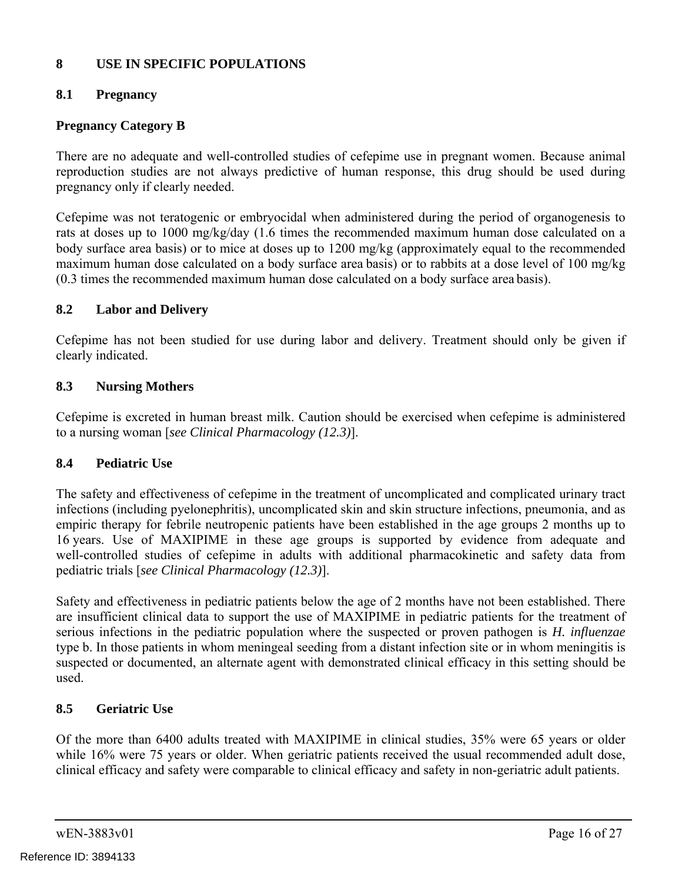## **8 USE IN SPECIFIC POPULATIONS**

## **8.1 Pregnancy**

### **Pregnancy Category B**

There are no adequate and well-controlled studies of cefepime use in pregnant women. Because animal reproduction studies are not always predictive of human response, this drug should be used during pregnancy only if clearly needed.

Cefepime was not teratogenic or embryocidal when administered during the period of organogenesis to rats at doses up to 1000 mg/kg/day (1.6 times the recommended maximum human dose calculated on a body surface area basis) or to mice at doses up to 1200 mg/kg (approximately equal to the recommended maximum human dose calculated on a body surface area basis) or to rabbits at a dose level of 100 mg/kg (0.3 times the recommended maximum human dose calculated on a body surface area basis).

### **8.2 Labor and Delivery**

Cefepime has not been studied for use during labor and delivery. Treatment should only be given if clearly indicated.

### **8.3 Nursing Mothers**

Cefepime is excreted in human breast milk. Caution should be exercised when cefepime is administered to a nursing woman [*see Clinical Pharmacology (12.3)*].

### **8.4 Pediatric Use**

The safety and effectiveness of cefepime in the treatment of uncomplicated and complicated urinary tract infections (including pyelonephritis), uncomplicated skin and skin structure infections, pneumonia, and as empiric therapy for febrile neutropenic patients have been established in the age groups 2 months up to 16 years. Use of MAXIPIME in these age groups is supported by evidence from adequate and well-controlled studies of cefepime in adults with additional pharmacokinetic and safety data from pediatric trials [*see Clinical Pharmacology (12.3)*].

Safety and effectiveness in pediatric patients below the age of 2 months have not been established. There are insufficient clinical data to support the use of MAXIPIME in pediatric patients for the treatment of serious infections in the pediatric population where the suspected or proven pathogen is *H. influenzae*  type b. In those patients in whom meningeal seeding from a distant infection site or in whom meningitis is suspected or documented, an alternate agent with demonstrated clinical efficacy in this setting should be used.

### **8.5 Geriatric Use**

Of the more than 6400 adults treated with MAXIPIME in clinical studies, 35% were 65 years or older while 16% were 75 years or older. When geriatric patients received the usual recommended adult dose, clinical efficacy and safety were comparable to clinical efficacy and safety in non-geriatric adult patients.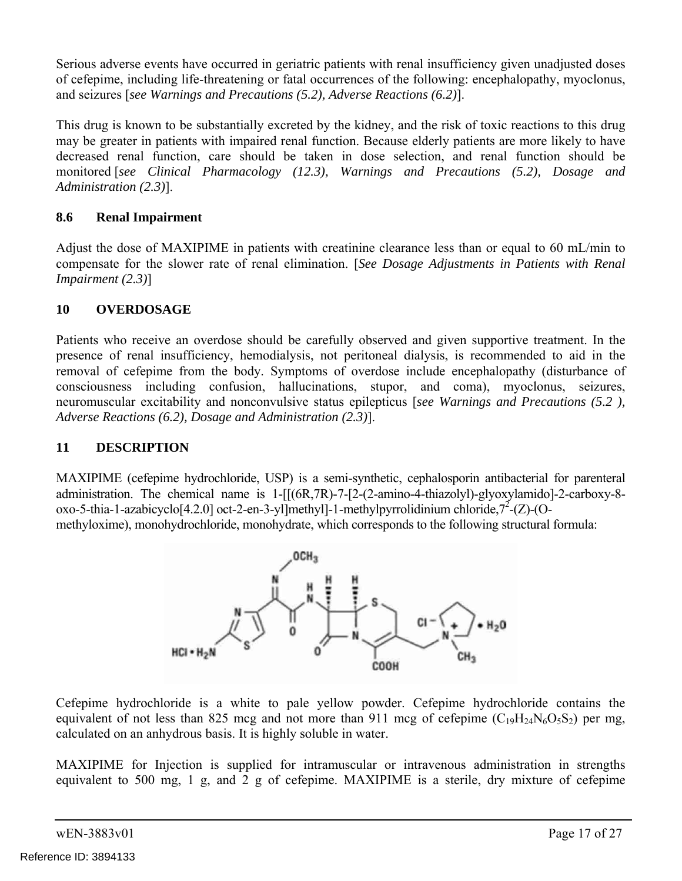Serious adverse events have occurred in geriatric patients with renal insufficiency given unadjusted doses of cefepime, including life-threatening or fatal occurrences of the following: encephalopathy, myoclonus, and seizures [*see Warnings and Precautions (5.2), Adverse Reactions (6.2)*].

This drug is known to be substantially excreted by the kidney, and the risk of toxic reactions to this drug may be greater in patients with impaired renal function. Because elderly patients are more likely to have decreased renal function, care should be taken in dose selection, and renal function should be monitored [*see Clinical Pharmacology (12.3), Warnings and Precautions (5.2), Dosage and Administration (2.3)*].

## **8.6 Renal Impairment**

Adjust the dose of MAXIPIME in patients with creatinine clearance less than or equal to 60 mL/min to compensate for the slower rate of renal elimination. [*See Dosage Adjustments in Patients with Renal Impairment (2.3)*]

## **10 OVERDOSAGE**

Patients who receive an overdose should be carefully observed and given supportive treatment. In the presence of renal insufficiency, hemodialysis, not peritoneal dialysis, is recommended to aid in the removal of cefepime from the body. Symptoms of overdose include encephalopathy (disturbance of consciousness including confusion, hallucinations, stupor, and coma), myoclonus, seizures, neuromuscular excitability and nonconvulsive status epilepticus [*see Warnings and Precautions (5.2 ), Adverse Reactions (6.2), Dosage and Administration (2.3)*].

## **11 DESCRIPTION**

MAXIPIME (cefepime hydrochloride, USP) is a semi-synthetic, cephalosporin antibacterial for parenteral administration. The chemical name is 1-[[(6R,7R)-7-[2-(2-amino-4-thiazolyl)-glyoxylamido]-2-carboxy-8 oxo-5-thia-1-azabicyclo[4.2.0] oct-2-en-3-yl]methyl]-1-methylpyrrolidinium chloride, $7^2$ -(Z)-(O methyloxime), monohydrochloride, monohydrate, which corresponds to the following structural formula:



Cefepime hydrochloride is a white to pale yellow powder. Cefepime hydrochloride contains the equivalent of not less than 825 mcg and not more than 911 mcg of cefepime  $(C_{19}H_{24}N_6O_5S_2)$  per mg, calculated on an anhydrous basis. It is highly soluble in water.

MAXIPIME for Injection is supplied for intramuscular or intravenous administration in strengths equivalent to 500 mg, 1 g, and 2 g of cefepime. MAXIPIME is a sterile, dry mixture of cefepime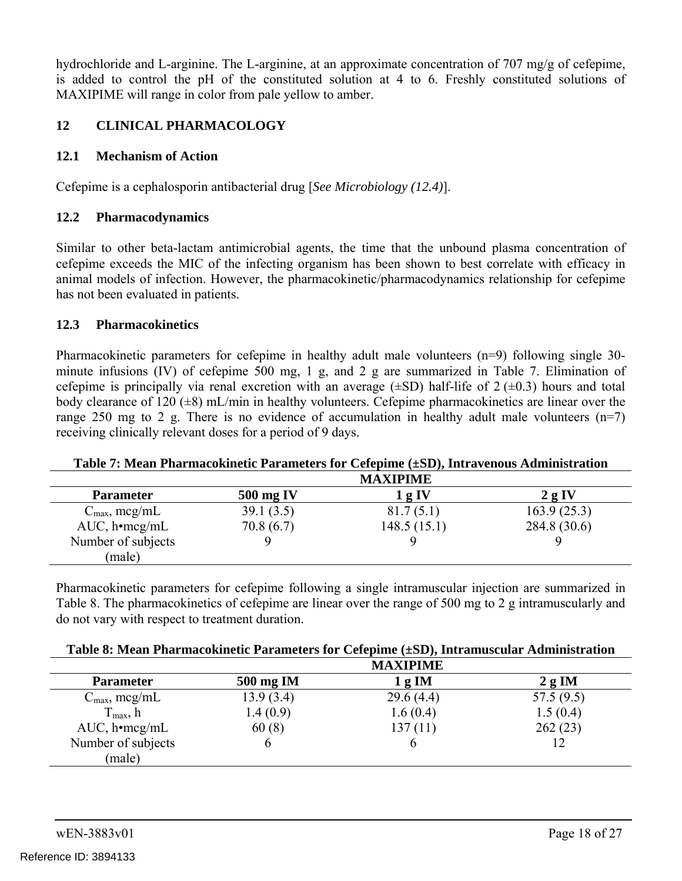hydrochloride and L-arginine. The L-arginine, at an approximate concentration of 707 mg/g of cefepime, is added to control the pH of the constituted solution at 4 to 6. Freshly constituted solutions of MAXIPIME will range in color from pale yellow to amber.

## **12 CLINICAL PHARMACOLOGY**

## **12.1 Mechanism of Action**

Cefepime is a cephalosporin antibacterial drug [*See Microbiology (12.4)*].

## **12.2 Pharmacodynamics**

Similar to other beta-lactam antimicrobial agents, the time that the unbound plasma concentration of cefepime exceeds the MIC of the infecting organism has been shown to best correlate with efficacy in animal models of infection. However, the pharmacokinetic/pharmacodynamics relationship for cefepime has not been evaluated in patients.

### **12.3 Pharmacokinetics**

Pharmacokinetic parameters for cefepime in healthy adult male volunteers (n=9) following single 30minute infusions (IV) of cefepime 500 mg, 1 g, and 2 g are summarized in Table 7. Elimination of cefepime is principally via renal excretion with an average  $(\pm SD)$  half-life of  $2 (\pm 0.3)$  hours and total body clearance of 120  $(\pm 8)$  mL/min in healthy volunteers. Cefepime pharmacokinetics are linear over the range 250 mg to 2 g. There is no evidence of accumulation in healthy adult male volunteers  $(n=7)$ receiving clinically relevant doses for a period of 9 days.

### **Table 7: Mean Pharmacokinetic Parameters for Cefepime (±SD), Intravenous Administration**

|                           |           | <b>MAXIPIME</b> |                 |
|---------------------------|-----------|-----------------|-----------------|
| <b>Parameter</b>          | 500 mg IV | l g IV          | 2g <sub>N</sub> |
| $C_{\text{max}}$ , mcg/mL | 39.1(3.5) | 81.7(5.1)       | 163.9(25.3)     |
| $AUC, h \cdot mcg/mL$     | 70.8(6.7) | 148.5(15.1)     | 284.8 (30.6)    |
| Number of subjects        |           |                 |                 |
| male)                     |           |                 |                 |

Pharmacokinetic parameters for cefepime following a single intramuscular injection are summarized in Table 8. The pharmacokinetics of cefepime are linear over the range of 500 mg to 2 g intramuscularly and do not vary with respect to treatment duration.

#### **Table 8: Mean Pharmacokinetic Parameters for Cefepime (±SD), Intramuscular Administration**

|                           |           | <b>MAXIPIME</b> |           |
|---------------------------|-----------|-----------------|-----------|
| <b>Parameter</b>          | 500 mg IM | $1g$ M          | $2g$ IM   |
| $C_{\text{max}}$ , mcg/mL | 13.9(3.4) | 29.6(4.4)       | 57.5(9.5) |
| $T_{\text{max}}$ , h      | 1.4(0.9)  | 1.6(0.4)        | 1.5(0.4)  |
| $AUC, h \cdot mcg/mL$     | 60(8)     | 137(11)         | 262(23)   |
| Number of subjects        |           |                 |           |
| male)                     |           |                 |           |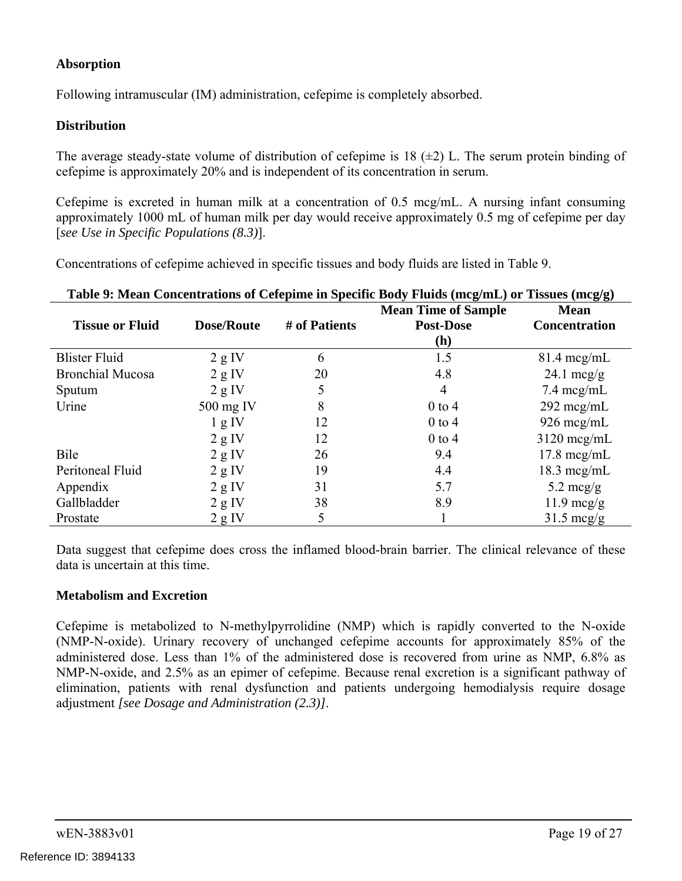## **Absorption**

Following intramuscular (IM) administration, cefepime is completely absorbed.

### **Distribution**

The average steady-state volume of distribution of cefepime is 18  $(\pm 2)$  L. The serum protein binding of cefepime is approximately 20% and is independent of its concentration in serum.

Cefepime is excreted in human milk at a concentration of 0.5 mcg/mL. A nursing infant consuming approximately 1000 mL of human milk per day would receive approximately 0.5 mg of cefepime per day [*see Use in Specific Populations (8.3)*].

Concentrations of cefepime achieved in specific tissues and body fluids are listed in Table 9.

| Table 9: Mean Concentrations of Cefepime in Specific Body Fluids (mcg/mL) or Tissues (mcg/g) |                   |               |                            |                       |
|----------------------------------------------------------------------------------------------|-------------------|---------------|----------------------------|-----------------------|
|                                                                                              |                   |               | <b>Mean Time of Sample</b> | <b>Mean</b>           |
| <b>Tissue or Fluid</b>                                                                       | <b>Dose/Route</b> | # of Patients | <b>Post-Dose</b>           | <b>Concentration</b>  |
|                                                                                              |                   |               | (h)                        |                       |
| <b>Blister Fluid</b>                                                                         | 2 g IV            | 6             | 1.5                        | $81.4 \text{~mg/mL}$  |
| <b>Bronchial Mucosa</b>                                                                      | 2 g IV            | 20            | 4.8                        | 24.1 $mcg/g$          |
| Sputum                                                                                       | 2 g IV            | 5             | $\overline{4}$             | $7.4 \text{~mcg/mL}$  |
| Urine                                                                                        | $500$ mg IV       | 8             | $0$ to 4                   | $292 \text{~mg/mL}$   |
|                                                                                              | 1 g IV            | 12            | $0$ to 4                   | $926 \text{~mcg/mL}$  |
|                                                                                              | 2 g IV            | 12            | $0$ to 4                   | $3120$ mcg/mL         |
| Bile                                                                                         | 2 g IV            | 26            | 9.4                        | $17.8 \text{~mcg/mL}$ |
| Peritoneal Fluid                                                                             | 2 g IV            | 19            | 4.4                        | $18.3 \text{ mcg/mL}$ |
| Appendix                                                                                     | 2 g IV            | 31            | 5.7                        | 5.2 mcg/g             |
| Gallbladder                                                                                  | 2 g IV            | 38            | 8.9                        | $11.9 \text{~mcg/g}$  |
| Prostate                                                                                     | 2 g IV            | 5             |                            | $31.5 \text{~mcg/g}$  |

Data suggest that cefepime does cross the inflamed blood-brain barrier. The clinical relevance of these data is uncertain at this time.

### **Metabolism and Excretion**

Cefepime is metabolized to N-methylpyrrolidine (NMP) which is rapidly converted to the N-oxide (NMP-N-oxide). Urinary recovery of unchanged cefepime accounts for approximately 85% of the administered dose. Less than 1% of the administered dose is recovered from urine as NMP, 6.8% as NMP-N-oxide, and 2.5% as an epimer of cefepime. Because renal excretion is a significant pathway of elimination, patients with renal dysfunction and patients undergoing hemodialysis require dosage adjustment *[see Dosage and Administration (2.3)]*.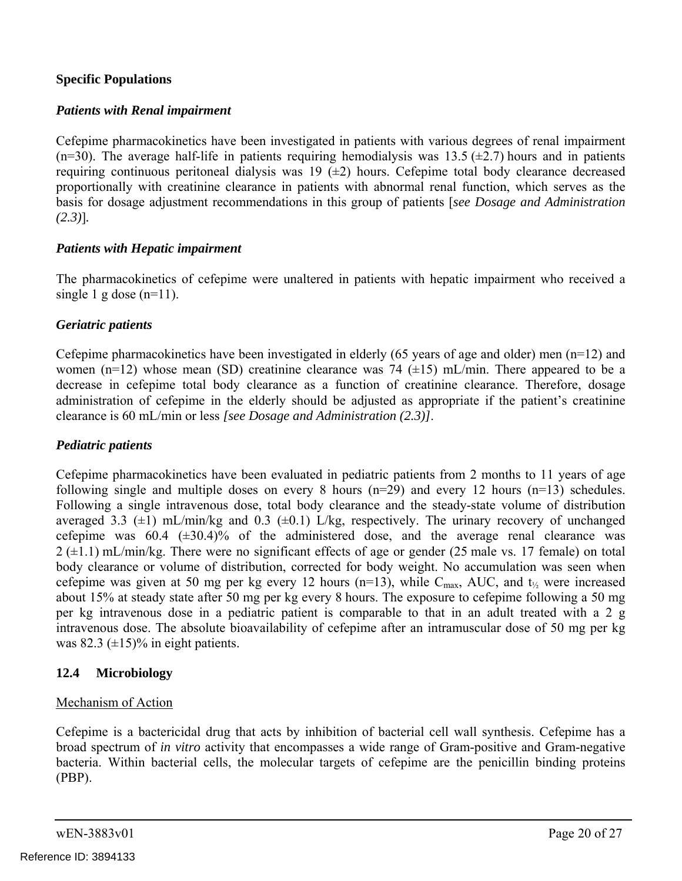#### **Specific Populations**

#### *Patients with Renal impairment*

Cefepime pharmacokinetics have been investigated in patients with various degrees of renal impairment (n=30). The average half-life in patients requiring hemodialysis was  $13.5 \div 2.7$ ) hours and in patients requiring continuous peritoneal dialysis was  $19$  ( $\pm 2$ ) hours. Cefepime total body clearance decreased proportionally with creatinine clearance in patients with abnormal renal function, which serves as the basis for dosage adjustment recommendations in this group of patients [*see Dosage and Administration (2.3)*]*.* 

#### *Patients with Hepatic impairment*

The pharmacokinetics of cefepime were unaltered in patients with hepatic impairment who received a single 1 g dose  $(n=11)$ .

### *Geriatric patients*

Cefepime pharmacokinetics have been investigated in elderly (65 years of age and older) men  $(n=12)$  and women (n=12) whose mean (SD) creatinine clearance was 74 ( $\pm$ 15) mL/min. There appeared to be a decrease in cefepime total body clearance as a function of creatinine clearance. Therefore, dosage administration of cefepime in the elderly should be adjusted as appropriate if the patient's creatinine clearance is 60 mL/min or less *[see Dosage and Administration (2.3)]*.

#### *Pediatric patients*

Cefepime pharmacokinetics have been evaluated in pediatric patients from 2 months to 11 years of age following single and multiple doses on every 8 hours  $(n=29)$  and every 12 hours  $(n=13)$  schedules. Following a single intravenous dose, total body clearance and the steady-state volume of distribution averaged 3.3  $(\pm 1)$  mL/min/kg and 0.3  $(\pm 0.1)$  L/kg, respectively. The urinary recovery of unchanged cefepime was  $60.4$   $(\pm 30.4)\%$  of the administered dose, and the average renal clearance was  $2 (+1.1)$  mL/min/kg. There were no significant effects of age or gender (25 male vs. 17 female) on total body clearance or volume of distribution, corrected for body weight. No accumulation was seen when cefepime was given at 50 mg per kg every 12 hours (n=13), while C<sub>max</sub>, AUC, and  $t_{\frac{1}{2}}$  were increased about 15% at steady state after 50 mg per kg every 8 hours. The exposure to cefepime following a 50 mg per kg intravenous dose in a pediatric patient is comparable to that in an adult treated with a 2 g intravenous dose. The absolute bioavailability of cefepime after an intramuscular dose of 50 mg per kg was 82.3  $(\pm 15)$ % in eight patients.

### **12.4 Microbiology**

#### Mechanism of Action

Cefepime is a bactericidal drug that acts by inhibition of bacterial cell wall synthesis. Cefepime has a broad spectrum of *in vitro* activity that encompasses a wide range of Gram-positive and Gram-negative bacteria. Within bacterial cells, the molecular targets of cefepime are the penicillin binding proteins (PBP).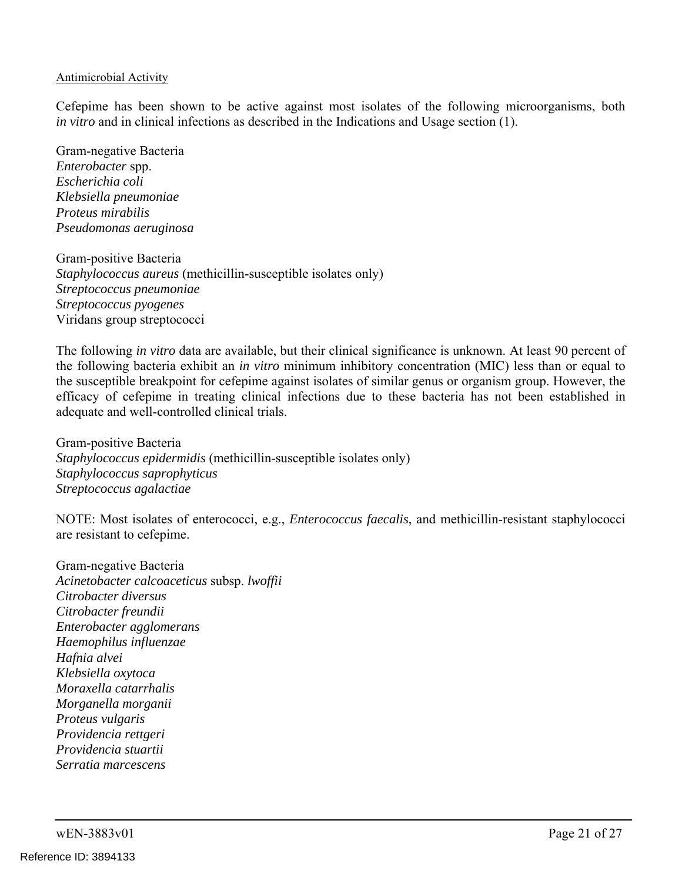#### Antimicrobial Activity

Cefepime has been shown to be active against most isolates of the following microorganisms, both *in vitro* and in clinical infections as described in the Indications and Usage section (1).

Gram-negative Bacteria *Enterobacter* spp. *Escherichia coli Klebsiella pneumoniae Proteus mirabilis Pseudomonas aeruginosa* 

Gram-positive Bacteria *Staphylococcus aureus* (methicillin-susceptible isolates only) *Streptococcus pneumoniae Streptococcus pyogenes*  Viridans group streptococci

The following *in vitro* data are available, but their clinical significance is unknown. At least 90 percent of the following bacteria exhibit an *in vitro* minimum inhibitory concentration (MIC) less than or equal to the susceptible breakpoint for cefepime against isolates of similar genus or organism group. However, the efficacy of cefepime in treating clinical infections due to these bacteria has not been established in adequate and well-controlled clinical trials.

Gram-positive Bacteria *Staphylococcus epidermidis* (methicillin-susceptible isolates only) *Staphylococcus saprophyticus Streptococcus agalactiae* 

NOTE: Most isolates of enterococci, e.g., *Enterococcus faecalis*, and methicillin-resistant staphylococci are resistant to cefepime.

Gram-negative Bacteria *Acinetobacter calcoaceticus* subsp. *lwoffii Citrobacter diversus Citrobacter freundii Enterobacter agglomerans Haemophilus influenzae Hafnia alvei Klebsiella oxytoca Moraxella catarrhalis Morganella morganii Proteus vulgaris Providencia rettgeri Providencia stuartii Serratia marcescens*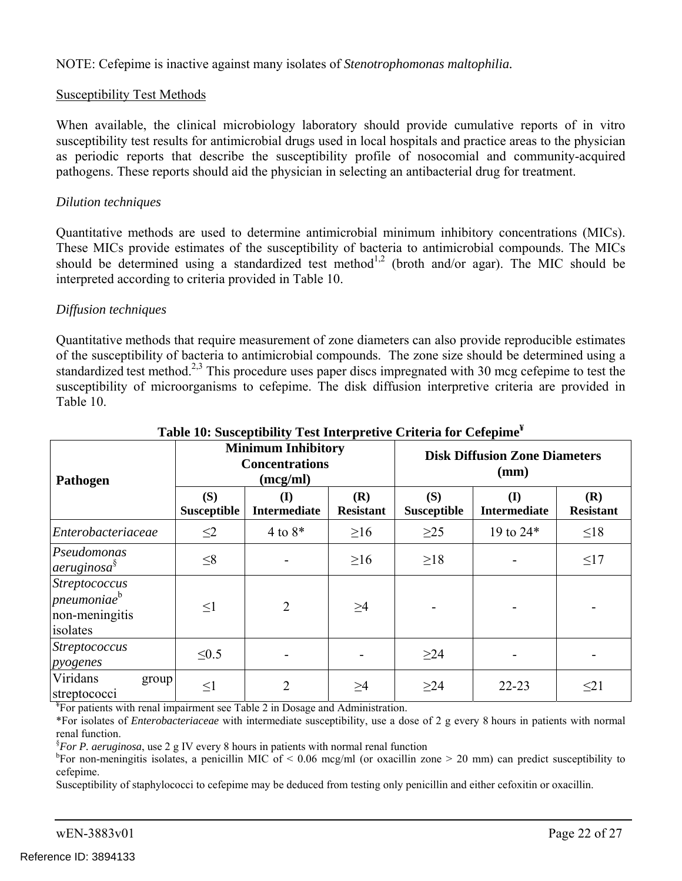NOTE: Cefepime is inactive against many isolates of *Stenotrophomonas maltophilia.* 

#### Susceptibility Test Methods

When available, the clinical microbiology laboratory should provide cumulative reports of in vitro susceptibility test results for antimicrobial drugs used in local hospitals and practice areas to the physician as periodic reports that describe the susceptibility profile of nosocomial and community-acquired pathogens. These reports should aid the physician in selecting an antibacterial drug for treatment.

#### *Dilution techniques*

Quantitative methods are used to determine antimicrobial minimum inhibitory concentrations (MICs). These MICs provide estimates of the susceptibility of bacteria to antimicrobial compounds. The MICs should be determined using a standardized test method<sup>1,2</sup> (broth and/or agar). The MIC should be interpreted according to criteria provided in Table 10.

#### *Diffusion techniques*

Quantitative methods that require measurement of zone diameters can also provide reproducible estimates of the susceptibility of bacteria to antimicrobial compounds. The zone size should be determined using a standardized test method.<sup>2,3</sup> This procedure uses paper discs impregnated with 30 mcg cefepime to test the susceptibility of microorganisms to cefepime. The disk diffusion interpretive criteria are provided in Table 10.

| Pathogen                                                               | <b>Minimum Inhibitory</b><br><b>Concentrations</b><br>(mcg/ml) |                            | <b>Disk Diffusion Zone Diameters</b><br>(mm) |                           |                            |                         |
|------------------------------------------------------------------------|----------------------------------------------------------------|----------------------------|----------------------------------------------|---------------------------|----------------------------|-------------------------|
|                                                                        | (S)<br><b>Susceptible</b>                                      | (I)<br><b>Intermediate</b> | (R)<br><b>Resistant</b>                      | (S)<br><b>Susceptible</b> | (I)<br><b>Intermediate</b> | (R)<br><b>Resistant</b> |
| Enterobacteriaceae                                                     | $\leq$ 2                                                       | $4$ to $8*$                | $\geq 16$                                    | $\geq$ 25                 | 19 to 24*                  | $\leq 18$               |
| Pseudomonas<br><i>aeruginosa</i> <sup>§</sup>                          | $\leq 8$                                                       |                            | $\geq 16$                                    | $\geq$ 18                 |                            | $\leq17$                |
| Streptococcus<br>pneumoniae <sup>b</sup><br>non-meningitis<br>isolates | $\leq1$                                                        | $\overline{2}$             | $\geq$ 4                                     |                           |                            |                         |
| Streptococcus<br>pyogenes                                              | $\leq 0.5$                                                     |                            |                                              | $\geq$ 24                 |                            |                         |
| Viridans<br>group<br>streptococci                                      | $\leq1$                                                        | 2                          | $\geq$ 4                                     | $\geq$ 24                 | $22 - 23$                  | $\leq$ 21               |

### **Table 10: Susceptibility Test Interpretive Criteria for Cefepime¥**

<sup>¥</sup>For patients with renal impairment see Table 2 in Dosage and Administration.

\*For isolates of *Enterobacteriaceae* with intermediate susceptibility, use a dose of 2 g every 8 hours in patients with normal renal function.<br>*S*E<sub>OR</sub> *P corrigin* 

*For P. aeruginosa*, use 2 g IV every 8 hours in patients with normal renal function  $b_{\text{Eor}}$  non-monipaties isolates, a popisillin MIC of  $\leq 0.06$  mag/ml (or overillin zo)

<sup>b</sup>For non-meningitis isolates, a penicillin MIC of < 0.06 mcg/ml (or oxacillin zone > 20 mm) can predict susceptibility to cefepime.

Susceptibility of staphylococci to cefepime may be deduced from testing only penicillin and either cefoxitin or oxacillin.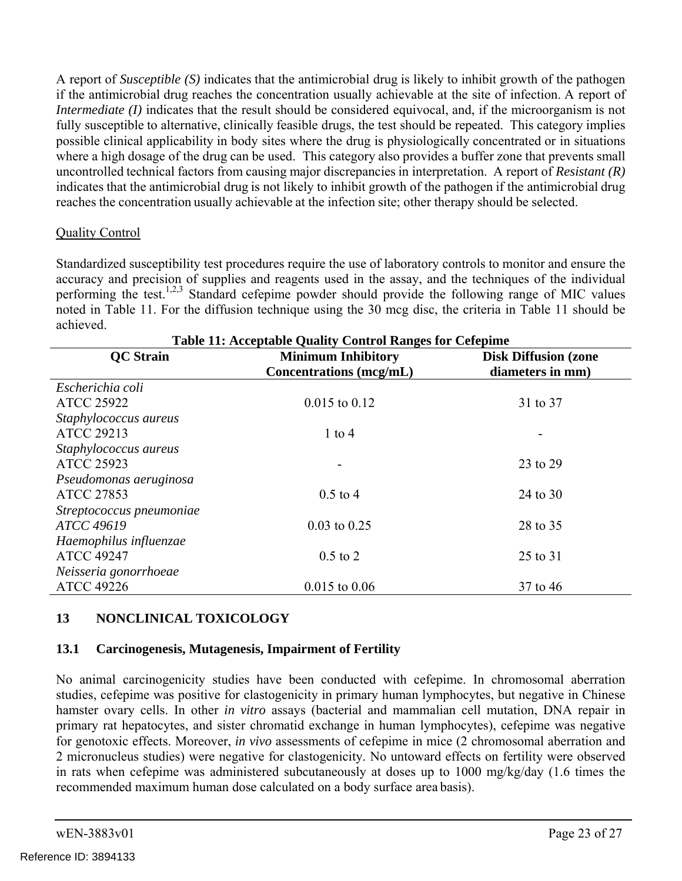reaches the concentration usually achievable at the infection site; other therapy should be selected. A report of *Susceptible (S)* indicates that the antimicrobial drug is likely to inhibit growth of the pathogen if the antimicrobial drug reaches the concentration usually achievable at the site of infection. A report of *Intermediate (I)* indicates that the result should be considered equivocal, and, if the microorganism is not fully susceptible to alternative, clinically feasible drugs, the test should be repeated. This category implies possible clinical applicability in body sites where the drug is physiologically concentrated or in situations where a high dosage of the drug can be used. This category also provides a buffer zone that prevents small uncontrolled technical factors from causing major discrepancies in interpretation. A report of *Resistant (R)*  indicates that the antimicrobial drug is not likely to inhibit growth of the pathogen if the antimicrobial drug

## Quality Control

Standardized susceptibility test procedures require the use of laboratory controls to monitor and ensure the accuracy and precision of supplies and reagents used in the assay, and the techniques of the individual performing the test.<sup>1,2,3</sup> Standard cefepime powder should provide the following range of MIC values noted in Table 11. For the diffusion technique using the 30 mcg disc, the criteria in Table 11 should be achieved.

| <b>Table 11: Acceptable Quality Control Ranges for Cefepime</b> |                                |                             |  |
|-----------------------------------------------------------------|--------------------------------|-----------------------------|--|
| <b>OC</b> Strain                                                | <b>Minimum Inhibitory</b>      | <b>Disk Diffusion (zone</b> |  |
|                                                                 | <b>Concentrations</b> (mcg/mL) | diameters in mm)            |  |
| Escherichia coli                                                |                                |                             |  |
| <b>ATCC 25922</b>                                               | $0.015$ to $0.12$              | 31 to 37                    |  |
| Staphylococcus aureus                                           |                                |                             |  |
| <b>ATCC 29213</b>                                               | 1 to 4                         |                             |  |
| Staphylococcus aureus                                           |                                |                             |  |
| <b>ATCC 25923</b>                                               |                                | 23 to 29                    |  |
| Pseudomonas aeruginosa                                          |                                |                             |  |
| <b>ATCC 27853</b>                                               | $0.5$ to 4                     | 24 to 30                    |  |
| Streptococcus pneumoniae                                        |                                |                             |  |
| ATCC 49619                                                      | $0.03$ to $0.25$               | 28 to 35                    |  |
| Haemophilus influenzae                                          |                                |                             |  |
| <b>ATCC 49247</b>                                               | $0.5$ to $2$                   | 25 to 31                    |  |
| Neisseria gonorrhoeae                                           |                                |                             |  |
| <b>ATCC 49226</b>                                               | $0.015$ to $0.06$              | 37 to 46                    |  |

## **13 NONCLINICAL TOXICOLOGY**

## **13.1 Carcinogenesis, Mutagenesis, Impairment of Fertility**

No animal carcinogenicity studies have been conducted with cefepime. In chromosomal aberration studies, cefepime was positive for clastogenicity in primary human lymphocytes, but negative in Chinese hamster ovary cells. In other *in vitro* assays (bacterial and mammalian cell mutation, DNA repair in primary rat hepatocytes, and sister chromatid exchange in human lymphocytes), cefepime was negative for genotoxic effects. Moreover, *in vivo* assessments of cefepime in mice (2 chromosomal aberration and 2 micronucleus studies) were negative for clastogenicity. No untoward effects on fertility were observed in rats when cefepime was administered subcutaneously at doses up to 1000 mg/kg/day (1.6 times the recommended maximum human dose calculated on a body surface area basis).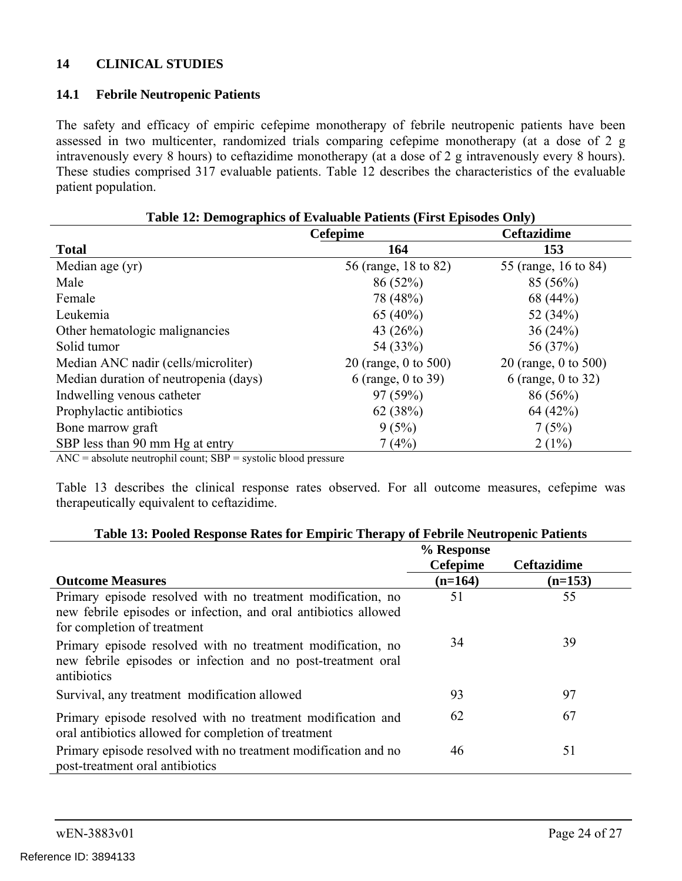## **14 CLINICAL STUDIES**

#### **14.1 Febrile Neutropenic Patients**

The safety and efficacy of empiric cefepime monotherapy of febrile neutropenic patients have been assessed in two multicenter, randomized trials comparing cefepime monotherapy (at a dose of 2 g intravenously every 8 hours) to ceftazidime monotherapy (at a dose of 2 g intravenously every 8 hours). These studies comprised 317 evaluable patients. Table 12 describes the characteristics of the evaluable patient population.

| Table 12: Demographics of Evaluable Patients (First Episodes Only) |                      |                      |  |
|--------------------------------------------------------------------|----------------------|----------------------|--|
| <b>Cefepime</b>                                                    |                      | <b>Ceftazidime</b>   |  |
| <b>Total</b>                                                       | 164                  | 153                  |  |
| Median age (yr)                                                    | 56 (range, 18 to 82) | 55 (range, 16 to 84) |  |
| Male                                                               | 86(52%)              | $85(56\%)$           |  |
| Female                                                             | 78 (48%)             | 68 (44%)             |  |
| Leukemia                                                           | 65 $(40\%)$          | 52 $(34%)$           |  |
| Other hematologic malignancies                                     | 43 $(26%)$           | 36(24%)              |  |
| Solid tumor                                                        | 54 (33%)             | 56 (37%)             |  |
| Median ANC nadir (cells/microliter)                                | 20 (range, 0 to 500) | 20 (range, 0 to 500) |  |
| Median duration of neutropenia (days)                              | 6 (range, 0 to 39)   | 6 (range, 0 to 32)   |  |
| Indwelling venous catheter                                         | 97(59%)              | $86(56\%)$           |  |
| Prophylactic antibiotics                                           | 62(38%)              | 64 (42%)             |  |
| Bone marrow graft                                                  | 9(5%)                | 7(5%)                |  |
| SBP less than 90 mm Hg at entry                                    | 7(4%)                | $2(1\%)$             |  |

 $\text{ANC} = \text{absolute neutrophil count}; \text{ SBP} = \text{systolic blood pressure}$ 

Table 13 describes the clinical response rates observed. For all outcome measures, cefepime was therapeutically equivalent to ceftazidime.

| Table 13: Pooled Response Rates for Empiric Therapy of Febrile Neutropenic Patients                                                                           |                 |                    |  |
|---------------------------------------------------------------------------------------------------------------------------------------------------------------|-----------------|--------------------|--|
|                                                                                                                                                               | % Response      |                    |  |
|                                                                                                                                                               | <b>Cefepime</b> | <b>Ceftazidime</b> |  |
| <b>Outcome Measures</b>                                                                                                                                       | $(n=164)$       | $(n=153)$          |  |
| Primary episode resolved with no treatment modification, no<br>new febrile episodes or infection, and oral antibiotics allowed<br>for completion of treatment | 51              | 55                 |  |
| Primary episode resolved with no treatment modification, no<br>new febrile episodes or infection and no post-treatment oral<br>antibiotics                    | 34              | 39                 |  |
| Survival, any treatment modification allowed                                                                                                                  | 93              | 97                 |  |
| Primary episode resolved with no treatment modification and<br>oral antibiotics allowed for completion of treatment                                           | 62              | 67                 |  |
| Primary episode resolved with no treatment modification and no<br>post-treatment oral antibiotics                                                             | 46              | 51                 |  |

## **Table 13: Pooled Response Rates for Empiric Therapy of Febrile Neutropenic Patients**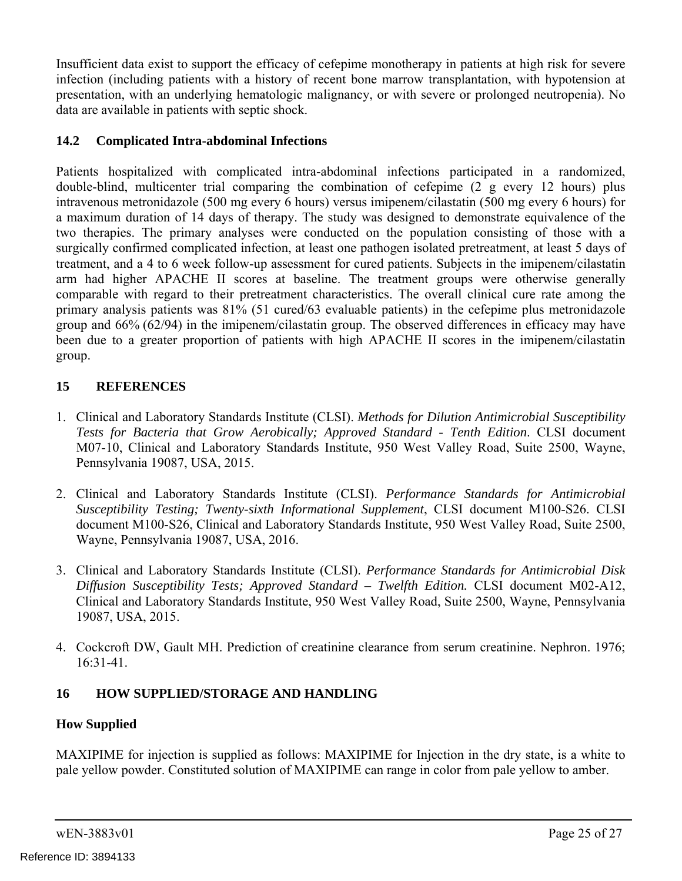Insufficient data exist to support the efficacy of cefepime monotherapy in patients at high risk for severe infection (including patients with a history of recent bone marrow transplantation, with hypotension at presentation, with an underlying hematologic malignancy, or with severe or prolonged neutropenia). No data are available in patients with septic shock.

## **14.2 Complicated Intra-abdominal Infections**

comparable with regard to their pretreatment characteristics. The overall clinical cure rate among the Patients hospitalized with complicated intra-abdominal infections participated in a randomized, double-blind, multicenter trial comparing the combination of cefepime (2 g every 12 hours) plus intravenous metronidazole (500 mg every 6 hours) versus imipenem/cilastatin (500 mg every 6 hours) for a maximum duration of 14 days of therapy. The study was designed to demonstrate equivalence of the two therapies. The primary analyses were conducted on the population consisting of those with a surgically confirmed complicated infection, at least one pathogen isolated pretreatment, at least 5 days of treatment, and a 4 to 6 week follow-up assessment for cured patients. Subjects in the imipenem/cilastatin arm had higher APACHE II scores at baseline. The treatment groups were otherwise generally primary analysis patients was  $81\%$  (51 cured/63 evaluable patients) in the cefepime plus metronidazole group and 66% (62/94) in the imipenem/cilastatin group. The observed differences in efficacy may have been due to a greater proportion of patients with high APACHE II scores in the imipenem/cilastatin group.

## **15 REFERENCES**

- 1. Clinical and Laboratory Standards Institute (CLSI). *Methods for Dilution Antimicrobial Susceptibility Tests for Bacteria that Grow Aerobically; Approved Standard - Tenth Edition*. CLSI document M07-10, Clinical and Laboratory Standards Institute, 950 West Valley Road, Suite 2500, Wayne, Pennsylvania 19087, USA, 2015.
- 2. Clinical and Laboratory Standards Institute (CLSI). *Performance Standards for Antimicrobial Susceptibility Testing; Twenty-sixth Informational Supplement*, CLSI document M100-S26. CLSI document M100-S26, Clinical and Laboratory Standards Institute, 950 West Valley Road, Suite 2500, Wayne, Pennsylvania 19087, USA, 2016.
- 3. Clinical and Laboratory Standards Institute (CLSI). *Performance Standards for Antimicrobial Disk Diffusion Susceptibility Tests; Approved Standard – Twelfth Edition.* CLSI document M02-A12, Clinical and Laboratory Standards Institute, 950 West Valley Road, Suite 2500, Wayne, Pennsylvania 19087, USA, 2015.
- 4. Cockcroft DW, Gault MH. Prediction of creatinine clearance from serum creatinine. Nephron. 1976; 16:31-41.

## **16 HOW SUPPLIED/STORAGE AND HANDLING**

## **How Supplied**

MAXIPIME for injection is supplied as follows: MAXIPIME for Injection in the dry state, is a white to pale yellow powder. Constituted solution of MAXIPIME can range in color from pale yellow to amber.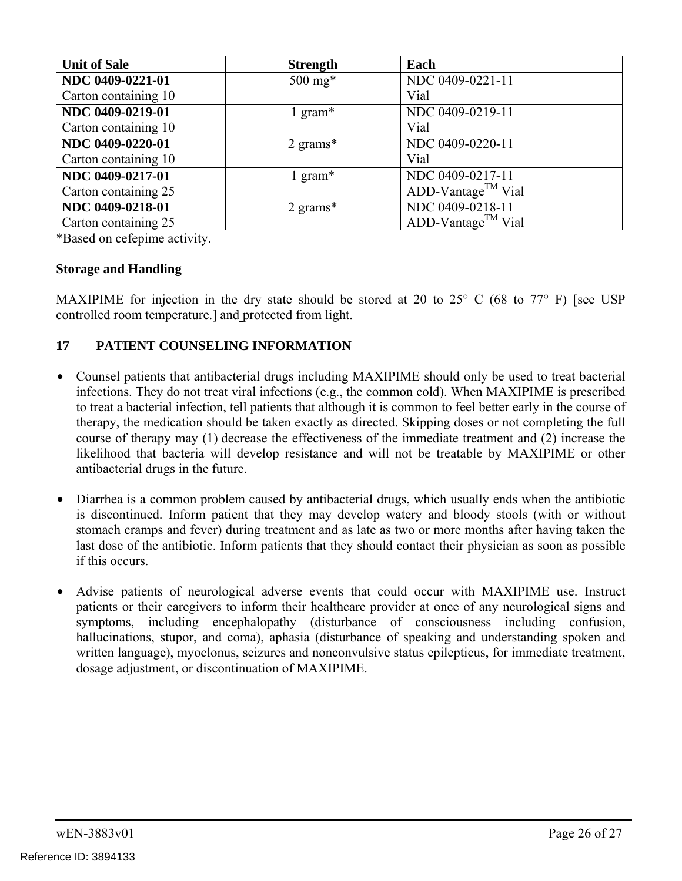| <b>Unit of Sale</b>  | <b>Strength</b>     | Each                           |
|----------------------|---------------------|--------------------------------|
| NDC 0409-0221-01     | $500 \text{ mg*}$   | NDC 0409-0221-11               |
| Carton containing 10 |                     | Vial                           |
| NDC 0409-0219-01     | 1 gram $*$          | NDC 0409-0219-11               |
| Carton containing 10 |                     | Vial                           |
| NDC 0409-0220-01     | $2 \text{ grams}^*$ | NDC 0409-0220-11               |
| Carton containing 10 |                     | Vial                           |
| NDC 0409-0217-01     | 1 gram*             | NDC 0409-0217-11               |
| Carton containing 25 |                     | ADD-Vantage <sup>TM</sup> Vial |
| NDC 0409-0218-01     | 2 grams $*$         | NDC 0409-0218-11               |
| Carton containing 25 |                     | ADD-Vantage <sup>TM</sup> Vial |

\*Based on cefepime activity.

## **Storage and Handling**

MAXIPIME for injection in the dry state should be stored at 20 to 25 $\degree$  C (68 to 77 $\degree$  F) [see USP controlled room temperature.] and protected from light.

## **17 PATIENT COUNSELING INFORMATION**

- Counsel patients that antibacterial drugs including MAXIPIME should only be used to treat bacterial infections. They do not treat viral infections (e.g., the common cold). When MAXIPIME is prescribed to treat a bacterial infection, tell patients that although it is common to feel better early in the course of therapy, the medication should be taken exactly as directed. Skipping doses or not completing the full course of therapy may (1) decrease the effectiveness of the immediate treatment and (2) increase the likelihood that bacteria will develop resistance and will not be treatable by MAXIPIME or other antibacterial drugs in the future.
- Diarrhea is a common problem caused by antibacterial drugs, which usually ends when the antibiotic is discontinued. Inform patient that they may develop watery and bloody stools (with or without stomach cramps and fever) during treatment and as late as two or more months after having taken the last dose of the antibiotic. Inform patients that they should contact their physician as soon as possible if this occurs.
- Advise patients of neurological adverse events that could occur with MAXIPIME use. Instruct patients or their caregivers to inform their healthcare provider at once of any neurological signs and symptoms, including encephalopathy (disturbance of consciousness including confusion, hallucinations, stupor, and coma), aphasia (disturbance of speaking and understanding spoken and written language), myoclonus, seizures and nonconvulsive status epilepticus, for immediate treatment, dosage adjustment, or discontinuation of MAXIPIME.